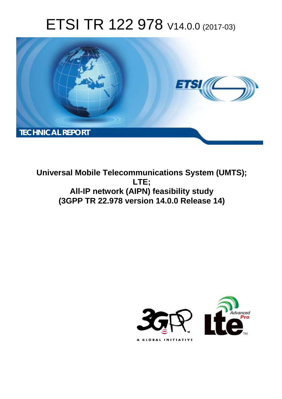# ETSI TR 122 978 V14.0.0 (2017-03)



**Universal Mobile Telecommunications System (UMTS); LTE; All-IP network (AIPN) feasibility study (3GPP TR 22.978 version 14.0.0 Release 14)** 

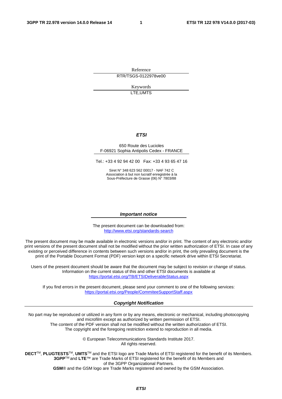Reference RTR/TSGS-0122978ve00

> Keywords LTE,UMTS

#### *ETSI*

#### 650 Route des Lucioles F-06921 Sophia Antipolis Cedex - FRANCE

Tel.: +33 4 92 94 42 00 Fax: +33 4 93 65 47 16

Siret N° 348 623 562 00017 - NAF 742 C Association à but non lucratif enregistrée à la Sous-Préfecture de Grasse (06) N° 7803/88

#### *Important notice*

The present document can be downloaded from: <http://www.etsi.org/standards-search>

The present document may be made available in electronic versions and/or in print. The content of any electronic and/or print versions of the present document shall not be modified without the prior written authorization of ETSI. In case of any existing or perceived difference in contents between such versions and/or in print, the only prevailing document is the print of the Portable Document Format (PDF) version kept on a specific network drive within ETSI Secretariat.

Users of the present document should be aware that the document may be subject to revision or change of status. Information on the current status of this and other ETSI documents is available at <https://portal.etsi.org/TB/ETSIDeliverableStatus.aspx>

If you find errors in the present document, please send your comment to one of the following services: <https://portal.etsi.org/People/CommiteeSupportStaff.aspx>

#### *Copyright Notification*

No part may be reproduced or utilized in any form or by any means, electronic or mechanical, including photocopying and microfilm except as authorized by written permission of ETSI.

The content of the PDF version shall not be modified without the written authorization of ETSI. The copyright and the foregoing restriction extend to reproduction in all media.

> © European Telecommunications Standards Institute 2017. All rights reserved.

**DECT**TM, **PLUGTESTS**TM, **UMTS**TM and the ETSI logo are Trade Marks of ETSI registered for the benefit of its Members. **3GPP**TM and **LTE**™ are Trade Marks of ETSI registered for the benefit of its Members and of the 3GPP Organizational Partners.

**GSM**® and the GSM logo are Trade Marks registered and owned by the GSM Association.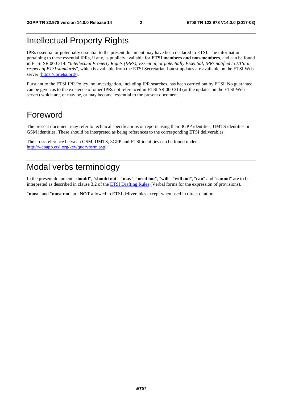# Intellectual Property Rights

IPRs essential or potentially essential to the present document may have been declared to ETSI. The information pertaining to these essential IPRs, if any, is publicly available for **ETSI members and non-members**, and can be found in ETSI SR 000 314: *"Intellectual Property Rights (IPRs); Essential, or potentially Essential, IPRs notified to ETSI in respect of ETSI standards"*, which is available from the ETSI Secretariat. Latest updates are available on the ETSI Web server ([https://ipr.etsi.org/\)](https://ipr.etsi.org/).

Pursuant to the ETSI IPR Policy, no investigation, including IPR searches, has been carried out by ETSI. No guarantee can be given as to the existence of other IPRs not referenced in ETSI SR 000 314 (or the updates on the ETSI Web server) which are, or may be, or may become, essential to the present document.

# Foreword

The present document may refer to technical specifications or reports using their 3GPP identities, UMTS identities or GSM identities. These should be interpreted as being references to the corresponding ETSI deliverables.

The cross reference between GSM, UMTS, 3GPP and ETSI identities can be found under [http://webapp.etsi.org/key/queryform.asp.](http://webapp.etsi.org/key/queryform.asp)

# Modal verbs terminology

In the present document "**should**", "**should not**", "**may**", "**need not**", "**will**", "**will not**", "**can**" and "**cannot**" are to be interpreted as described in clause 3.2 of the [ETSI Drafting Rules](https://portal.etsi.org/Services/editHelp!/Howtostart/ETSIDraftingRules.aspx) (Verbal forms for the expression of provisions).

"**must**" and "**must not**" are **NOT** allowed in ETSI deliverables except when used in direct citation.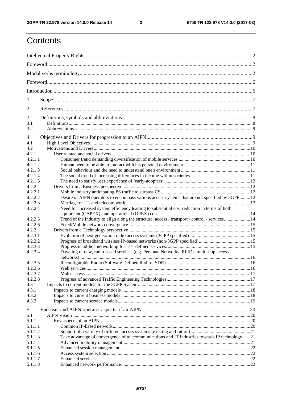$\mathbf{3}$ 

# Contents

| 1                |                                                                                                |  |
|------------------|------------------------------------------------------------------------------------------------|--|
| $\overline{2}$   |                                                                                                |  |
| 3                |                                                                                                |  |
| 3.1<br>3.2       |                                                                                                |  |
| 4                |                                                                                                |  |
| 4.1              |                                                                                                |  |
| 4.2              |                                                                                                |  |
| 4.2.1            |                                                                                                |  |
| 4.2.1.1          |                                                                                                |  |
| 4.2.1.2          |                                                                                                |  |
| 4.2.1.3          |                                                                                                |  |
| 4.2.1.4          |                                                                                                |  |
| 4.2.1.5          |                                                                                                |  |
| 4.2.2<br>4.2.2.1 |                                                                                                |  |
| 4.2.2.2          | Desire of AIPN operators to encompass various access systems that are not specified by 3GPP12  |  |
| 4.2.2.3          |                                                                                                |  |
| 4.2.2.4          | Need for increased system efficiency leading to substantial cost reduction in terms of both    |  |
|                  |                                                                                                |  |
| 4.2.2.5          | Trend of the industry to align along the structure: access / transport / control / services14  |  |
| 4.2.2.6          |                                                                                                |  |
| 4.2.3            |                                                                                                |  |
| 4.2.3.1          |                                                                                                |  |
| 4.2.3.2          |                                                                                                |  |
| 4.2.3.3          |                                                                                                |  |
| 4.2.3.4          | Dawning of new, radio based services (e.g. Personal Networks, RFIDs, multi-hop access          |  |
|                  |                                                                                                |  |
| 4.2.3.5          |                                                                                                |  |
| 4.2.3.6          |                                                                                                |  |
| 4.2.3.7          |                                                                                                |  |
| 4.2.3.8          |                                                                                                |  |
| 4.3              |                                                                                                |  |
| 4.3.1            |                                                                                                |  |
| 4.3.2            |                                                                                                |  |
| 4.3.3            |                                                                                                |  |
| 5<br>5.1         |                                                                                                |  |
| 5.1.1            |                                                                                                |  |
| 5.1.1.1          |                                                                                                |  |
| 5.1.1.2          |                                                                                                |  |
| 5.1.1.3          | Take advantage of convergence of telecommunications and IT industries towards IP technology 21 |  |
| 5.1.1.4          |                                                                                                |  |
| 5.1.1.5          |                                                                                                |  |
| 5.1.1.6          |                                                                                                |  |
| 5.1.1.7          |                                                                                                |  |
| 5.1.1.8          |                                                                                                |  |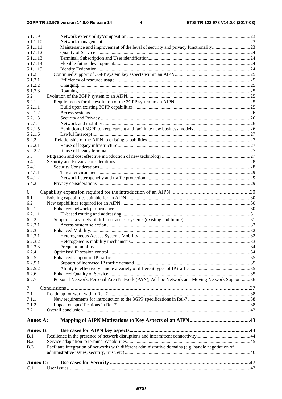| 5.2.1.3            |                                                                                                      |  |
|--------------------|------------------------------------------------------------------------------------------------------|--|
|                    |                                                                                                      |  |
| 5.2.1.4<br>5.2.1.5 |                                                                                                      |  |
| 5.2.1.6            |                                                                                                      |  |
| 5.2.2              |                                                                                                      |  |
| 5.2.2.1            |                                                                                                      |  |
| 5.2.2.2            |                                                                                                      |  |
| 5.3                |                                                                                                      |  |
| 5.4                |                                                                                                      |  |
| 5.4.1              |                                                                                                      |  |
| 5.4.1.1            |                                                                                                      |  |
| 5.4.1.2            |                                                                                                      |  |
| 5.4.2              |                                                                                                      |  |
| 6                  |                                                                                                      |  |
| 6.1                |                                                                                                      |  |
| 6.2                |                                                                                                      |  |
| 6.2.1              |                                                                                                      |  |
| 6.2.1.1            |                                                                                                      |  |
| 6.2.2              |                                                                                                      |  |
| 6.2.2.1            |                                                                                                      |  |
| 6.2.3<br>6.2.3.1   |                                                                                                      |  |
| 6.2.3.2            |                                                                                                      |  |
| 6.2.3.3            |                                                                                                      |  |
| 6.2.4              |                                                                                                      |  |
| 6.2.5              |                                                                                                      |  |
| 6.2.5.1            |                                                                                                      |  |
| 6.2.5.2            |                                                                                                      |  |
| 6.2.6              |                                                                                                      |  |
| 6.2.7              | Personal Network, Personal Area Network (PAN), Ad-hoc Network and Moving Network Support 36          |  |
| 7                  |                                                                                                      |  |
| 7.1                |                                                                                                      |  |
| 7.1.1              |                                                                                                      |  |
| 7.1.2              |                                                                                                      |  |
| 7.2                |                                                                                                      |  |
|                    |                                                                                                      |  |
| Annex A:           |                                                                                                      |  |
|                    |                                                                                                      |  |
| Annex B:           |                                                                                                      |  |
| B.1                |                                                                                                      |  |
| B.2                |                                                                                                      |  |
| B.3                | Facilitate integration of networks with different administrative domains (e.g. handle negotiation of |  |
|                    |                                                                                                      |  |
| Annex C:           |                                                                                                      |  |
| C.1                |                                                                                                      |  |
|                    |                                                                                                      |  |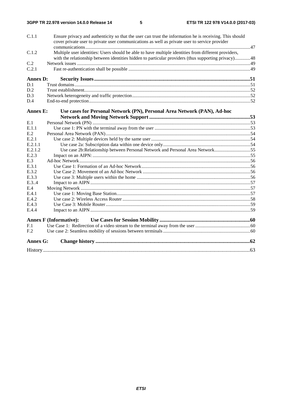| C.1.1           | Ensure privacy and authenticity so that the user can trust the information he is receiving. This should<br>cover private user to private user communications as well as private user to service provider |  |
|-----------------|----------------------------------------------------------------------------------------------------------------------------------------------------------------------------------------------------------|--|
|                 |                                                                                                                                                                                                          |  |
| C.1.2           | Multiple user identities: Users should be able to have multiple identities from different providers,                                                                                                     |  |
|                 | with the relationship between identities hidden to particular providers (thus supporting privacy)48                                                                                                      |  |
| C.2             |                                                                                                                                                                                                          |  |
| C.2.1           |                                                                                                                                                                                                          |  |
| <b>Annex D:</b> |                                                                                                                                                                                                          |  |
| D.1             |                                                                                                                                                                                                          |  |
| D.2             |                                                                                                                                                                                                          |  |
| D.3             |                                                                                                                                                                                                          |  |
| D.4             |                                                                                                                                                                                                          |  |
| <b>Annex E:</b> | Use cases for Personal Network (PN), Personal Area Network (PAN), Ad-hoc                                                                                                                                 |  |
|                 |                                                                                                                                                                                                          |  |
| E.1             |                                                                                                                                                                                                          |  |
| E.1.1           |                                                                                                                                                                                                          |  |
| E.2             |                                                                                                                                                                                                          |  |
| E.2.1           |                                                                                                                                                                                                          |  |
| E.2.1.1         |                                                                                                                                                                                                          |  |
| E.2.1.2         | Use case 2b:Relationship between Personal Network and Personal Area Network55                                                                                                                            |  |
| E.2.3           |                                                                                                                                                                                                          |  |
| E.3             |                                                                                                                                                                                                          |  |
| E.3.1           |                                                                                                                                                                                                          |  |
| E.3.2           |                                                                                                                                                                                                          |  |
| E.3.3           |                                                                                                                                                                                                          |  |
| E.3.4           |                                                                                                                                                                                                          |  |
| E.4             |                                                                                                                                                                                                          |  |
| E.4.1           |                                                                                                                                                                                                          |  |
| E.4.2           |                                                                                                                                                                                                          |  |
| E.4.3           |                                                                                                                                                                                                          |  |
| E.4.4           |                                                                                                                                                                                                          |  |
|                 | <b>Annex F (Informative):</b>                                                                                                                                                                            |  |
| F.1             |                                                                                                                                                                                                          |  |
| F.2             |                                                                                                                                                                                                          |  |
| <b>Annex G:</b> |                                                                                                                                                                                                          |  |
|                 |                                                                                                                                                                                                          |  |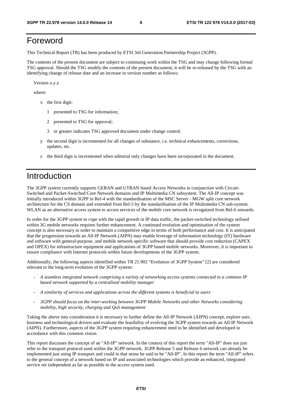# Foreword

This Technical Report (TR) has been produced by ETSI 3rd Generation Partnership Project (3GPP).

The contents of the present document are subject to continuing work within the TSG and may change following formal TSG approval. Should the TSG modify the contents of the present document, it will be re-released by the TSG with an identifying change of release date and an increase in version number as follows:

Version x.y.z

where:

- x the first digit:
	- 1 presented to TSG for information;
	- 2 presented to TSG for approval;
	- 3 or greater indicates TSG approved document under change control.
- y the second digit is incremented for all changes of substance, i.e. technical enhancements, corrections, updates, etc.
- z the third digit is incremented when editorial only changes have been incorporated in the document.

# Introduction

The 3GPP system currently supports GERAN and UTRAN based Access Networks in conjunction with Circuit-Switched and Packet-Switched Core Network domains and IP Multimedia CN subsystem. The All-IP concept was initially introduced within 3GPP in Rel-4 with the standardisation of the MSC Server - MGW split core network architecture for the CS domain and extended from Rel-5 by the standardisation of the IP Multimedia CN sub-system. WLAN as an alternative access system to access services of the mobile core network is recognized from Rel-6 onwards.

In order for the 3GPP system to cope with the rapid growth in IP data traffic, the packet-switched technology utilised within 3G mobile networks requires further enhancement. A continued evolution and optimisation of the system concept is also necessary in order to maintain a competitive edge in terms of both performance and cost. It is anticipated that the progression towards an All-IP Network (AIPN) may enable leverage of information technology (IT) hardware and software with general-purpose, and mobile network specific software that should provide cost reduction (CAPEX and OPEX) for infrastructure equipment and applications of 3GPP based mobile networks. Moreover, it is important to ensure compliance with Internet protocols within future developments of the 3GPP system.

Additionally, the following aspects identified within TR 21.902 "Evolution of 3GPP System" [2] are considered relevant to the long-term evolution of the 3GPP system:

- *A seamless integrated network comprising a variety of networking access systems connected to a common IP based network supported by a centralised mobility manager*
- *A similarity of services and applications across the different systems is beneficial to users*
- *3GPP should focus on the inter-working between 3GPP Mobile Networks and other Networks considering mobility, high security, charging and QoS management*

Taking the above into consideration it is necessary to further define the All-IP Network (AIPN) concept, explore user, business and technological drivers and evaluate the feasibility of evolving the 3GPP system towards an All-IP Network (AIPN). Furthermore, aspects of the 3GPP system requiring enhancement need to be identified and developed in accordance with this common vision.

This report discusses the concept of an "All-IP" network. In the context of this report the term "All-IP" does not just refer to the transport protocol used within the 3GPP network. 3GPP Release 5 and Release 6 network can already be implemented just using IP transport and could in that sense be said to be "All-IP". In this report the term "All-IP" refers to the general concept of a network based on IP and associated technologies which provide an enhanced, integrated service set independent as far as possible to the access system used.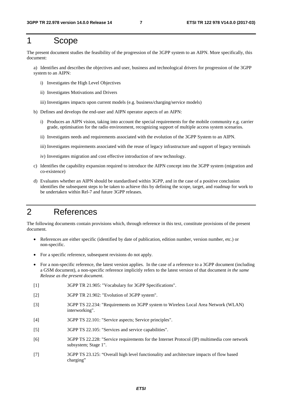# 1 Scope

The present document studies the feasibility of the progression of the 3GPP system to an AIPN. More specifically, this document:

a) Identifies and describes the objectives and user, business and technological drivers for progression of the 3GPP system to an AIPN:

- i) Investigates the High Level Objectives
- ii) Investigates Motivations and Drivers
- iii) Investigates impacts upon current models (e.g. business/charging/service models)
- b) Defines and develops the end-user and AIPN operator aspects of an AIPN:
	- i) Produces an AIPN vision, taking into account the special requirements for the mobile community e.g. carrier grade, optimisation for the radio environment, recognizing support of multiple access system scenarios.
	- ii) Investigates needs and requirements associated with the evolution of the 3GPP System to an AIPN.
	- iii) Investigates requirements associated with the reuse of legacy infrastructure and support of legacy terminals
	- iv) Investigates migration and cost effective introduction of new technology.
- c) Identifies the capability expansion required to introduce the AIPN concept into the 3GPP system (migration and co-existence)
- d) Evaluates whether an AIPN should be standardised within 3GPP, and in the case of a positive conclusion identifies the subsequent steps to be taken to achieve this by defining the scope, target, and roadmap for work to be undertaken within Rel-7 and future 3GPP releases.

# 2 References

The following documents contain provisions which, through reference in this text, constitute provisions of the present document.

- References are either specific (identified by date of publication, edition number, version number, etc.) or non-specific.
- For a specific reference, subsequent revisions do not apply.
- For a non-specific reference, the latest version applies. In the case of a reference to a 3GPP document (including a GSM document), a non-specific reference implicitly refers to the latest version of that document *in the same Release as the present document*.
- [1] 3GPP TR 21.905: "Vocabulary for 3GPP Specifications".
- [2] 3GPP TR 21.902: "Evolution of 3GPP system".
- [3] 3GPP TS 22.234: "Requirements on 3GPP system to Wireless Local Area Network (WLAN) interworking".
- [4] 3GPP TS 22.101: "Service aspects; Service principles".
- [5] 3GPP TS 22.105: "Services and service capabilities".
- [6] 3GPP TS 22.228: "Service requirements for the Internet Protocol (IP) multimedia core network subsystem; Stage 1".
- [7] 3GPP TS 23.125: "Overall high level functionality and architecture impacts of flow based charging"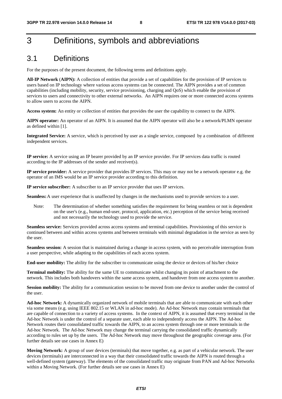# 3 Definitions, symbols and abbreviations

## 3.1 Definitions

For the purposes of the present document, the following terms and definitions apply.

**All-IP Network** (**AIPN):** A collection of entities that provide a set of capabilities for the provision of IP services to users based on IP technology where various access systems can be connected. The AIPN provides a set of common capabilities (including mobility, security, service provisioning, charging and QoS) which enable the provision of services to users and connectivity to other external networks. An AIPN requires one or more connected access systems to allow users to access the AIPN.

**Access system:** An entity or collection of entities that provides the user the capability to connect to the AIPN.

**AIPN operator:** An operator of an AIPN. It is assumed that the AIPN operator will also be a network/PLMN operator as defined within [1].

**Integrated Service:** A service, which is perceived by user as a single service, composed by a combination of different independent services.

**IP service:** A service using an IP bearer provided by an IP service provider. For IP services data traffic is routed according to the IP addresses of the sender and receiver(s).

**IP service provider:** A service provider that provides IP services. This may or may not be a network operator e.g. the operator of an IMS would be an IP service provider according to this definition.

**IP service subscriber:** A subscriber to an IP service provider that uses IP services.

**Seamless:** A user experience that is unaffected by changes in the mechanisms used to provide services to a user.

Note: The determination of whether something satisfies the requirement for being seamless or not is dependent on the user's (e.g., human end-user, protocol, application, etc.) perception of the service being received and not necessarily the technology used to provide the service.

**Seamless service:** Services provided across access systems and terminal capabilities. Provisioning of this service is continued between and within access systems and between terminals with minimal degradation in the service as seen by the user.

**Seamless session:** A session that is maintained during a change in access system, with no perceivable interruption from a user perspective, while adapting to the capabilities of each access system.

**End-user mobility:** The ability for the subscriber to communicate using the device or devices of his/her choice

**Terminal mobility:** The ability for the same UE to communicate whilst changing its point of attachment to the network. This includes both handovers within the same access system, and handover from one access system to another.

**Session mobility:** The ability for a communication session to be moved from one device to another under the control of the user.

**Ad-hoc Network:** A dynamically organized network of mobile terminals that are able to communicate with each other via some means (e.g. using IEEE 802.15 or WLAN in ad-hoc mode). An Ad-hoc Network may contain terminals that are capable of connection to a variety of access systems. In the context of AIPN, it is assumed that every terminal in the Ad-hoc Network is under the control of a separate user, each able to independently access the AIPN. The Ad-hoc Network routes their consolidated traffic towards the AIPN, to an access system through one or more terminals in the Ad-hoc Network. The Ad-hoc Network may change the terminal carrying the consolidated traffic dynamically according to rules set up by the users. The Ad-hoc Network may move throughout the geographic coverage area. (For further details see use cases in Annex E)

**Moving Network:** A group of user devices (terminals) that move together, e.g. as part of a vehicular network. The user devices (terminals) are interconnected in a way that their consolidated traffic towards the AIPN is routed through a well-defined system (gateway). The elements of the consolidated traffic may originate from PAN and Ad-hoc Networks within a Moving Network. (For further details see use cases in Annex E)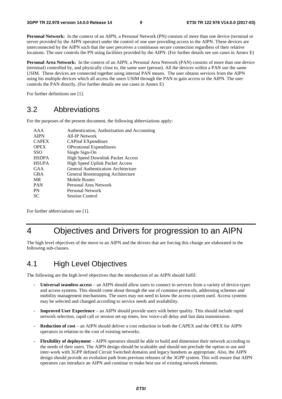**Personal Network:** In the context of an AIPN, a Personal Network (PN) consists of more than one device (terminal or server provided by the AIPN operator) under the control of one user providing access to the AIPN. These devices are interconnected by the AIPN such that the user perceives a continuous secure connection regardless of their relative locations. The user controls the PN using facilities provided by the AIPN. (For further details see use cases in Annex E)

**Personal Area Network:** In the context of an AIPN, a Personal Area Network (PAN) consists of more than one device (terminal) controlled by, and physically close to, the same user (person). All the devices within a PAN use the same USIM. These devices are connected together using internal PAN means. The user obtains services from the AIPN using his multiple devices which all access the users USIM through the PAN to gain access to the AIPN. The user controls the PAN directly. (For further details see use cases in Annex E)

For further definitions see [1].

# 3.2 Abbreviations

For the purposes of the present document, the following abbreviations apply:

| AAA          | Authentication, Authorisation and Accounting |
|--------------|----------------------------------------------|
| <b>AIPN</b>  | All-IP Network                               |
| <b>CAPEX</b> | CAPital EXpenditure                          |
| <b>OPEX</b>  | <b>OPerational Expenditures</b>              |
| SSO          | Single Sign-On                               |
| <b>HSDPA</b> | <b>High Speed Downlink Packet Access</b>     |
| <b>HSUPA</b> | <b>High Speed Uplink Packet Access</b>       |
| GAA          | General Authentication Architecture          |
| GBA          | General Bootstrapping Architecture           |
| MR.          | Mobile Router                                |
| <b>PAN</b>   | Personal Area Network                        |
| PN           | Personal Network                             |
| SС           | <b>Session Control</b>                       |
|              |                                              |

For further abbreviations see [1].

# 4 Objectives and Drivers for progression to an AIPN

The high level objectives of the move to an AIPN and the drivers that are forcing this change are elaborated in the following sub-clauses.

# 4.1 High Level Objectives

The following are the high level objectives that the introduction of an AIPN should fulfil:

- **Universal seamless access** an AIPN should allow users to connect to services from a variety of device-types and access systems. This should come about through the use of common protocols, addressing schemes and mobility management mechanisms. The users may not need to know the access system used. Access systems may be selected and changed according to service needs and availability.
- **Improved User Experience**  an AIPN should provide users with better quality. This should include rapid network selection, rapid call or session set-up times, low voice-call delay and fast data transmission.
- **Reduction of cost** an AIPN should deliver a cost reduction in both the CAPEX and the OPEX for AIPN operators in relation to the cost of existing networks.
- **Flexibility of deployment** AIPN operators should be able to build and dimension their network according to the needs of their users. The AIPN design should be scaleable and should not preclude the option to use and inter-work with 3GPP defined Circuit Switched domains and legacy handsets as appropriate. Also, the AIPN design should provide an evolution path from previous releases of the 3GPP system. This will ensure that AIPN operators can introduce an AIPN and continue to make best use of existing network elements.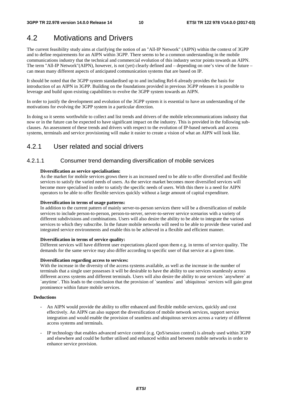# 4.2 Motivations and Drivers

The current feasibility study aims at clarifying the notion of an "All-IP Network" (AIPN) within the context of 3GPP and to define requirements for an AIPN within 3GPP. There seems to be a common understanding in the mobile communications industry that the technical and commercial evolution of this industry sector points towards an AIPN. The term "All-IP Network"(AIPN), however, is not (yet) clearly defined and – depending on one's view of the future – can mean many different aspects of anticipated communication systems that are based on IP.

It should be noted that the 3GPP system standardised up to and including Rel-6 already provides the basis for introduction of an AIPN in 3GPP. Building on the foundations provided in previous 3GPP releases it is possible to leverage and build upon existing capabilities to evolve the 3GPP system towards an AIPN.

In order to justify the development and evolution of the 3GPP system it is essential to have an understanding of the motivations for evolving the 3GPP system in a particular direction.

In doing so it seems worthwhile to collect and list trends and drivers of the mobile telecommunications industry that now or in the future can be expected to have significant impact on the industry. This is provided in the following subclauses. An assessment of these trends and drivers with respect to the evolution of IP-based network and access systems, terminals and service provisioning will make it easier to create a vision of what an AIPN will look like.

## 4.2.1 User related and social drivers

### 4.2.1.1 Consumer trend demanding diversification of mobile services

#### **Diversification as service specialisation:**

As the market for mobile services grows there is an increased need to be able to offer diversified and flexible services to satisfy the varied needs of users. As the service market becomes more diversified services will become more specialised in order to satisfy the specific needs of users. With this there is a need for AIPN operators to be able to offer flexible services quickly without a large amount of capital expenditure.

#### **Diversification in terms of usage patterns:**

In addition to the current pattern of mainly server-to-person services there will be a diversification of mobile services to include person-to-person, person-to-server, server-to-server service scenarios with a variety of different subdivisions and combinations. Users will also desire the ability to be able to integrate the various services to which they subscribe. In the future mobile networks will need to be able to provide these varied and integrated service environments and enable this to be achieved in a flexible and efficient manner.

#### **Diversification in terms of service quality:**

Different services will have different user expectations placed upon them e.g. in terms of service quality. The demands for the same service may also differ according to specific user of that service at a given time.

#### **Diversification regarding access to services:**

With the increase in the diversity of the access systems available, as well as the increase in the number of terminals that a single user possesses it will be desirable to have the ability to use services seamlessly across different access systems and different terminals. Users will also desire the ability to use services `anywhere` at `anytime`. This leads to the conclusion that the provision of `seamless` and `ubiquitous` services will gain great prominence within future mobile services.

#### **Deductions**

- An AIPN would provide the ability to offer enhanced and flexible mobile services, quickly and cost effectively. An AIPN can also support the diversification of mobile network services, support service integration and would enable the provision of seamless and ubiquitous services across a variety of different access systems and terminals.
- IP technology that enables advanced service control (e.g. QoS/session control) is already used within 3GPP and elsewhere and could be further utilised and enhanced within and between mobile networks in order to enhance service provision.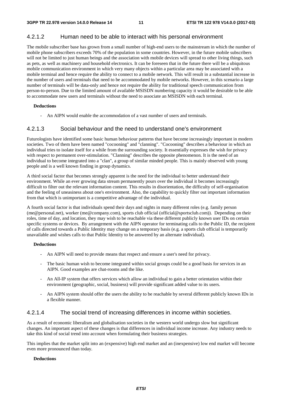### 4.2.1.2 Human need to be able to interact with his personal environment

The mobile subscriber base has grown from a small number of high-end users to the mainstream in which the number of mobile phone subscribers exceeds 70% of the population in some countries. However, in the future mobile subscribers will not be limited to just human beings and the association with mobile devices will spread to other living things, such as pets, as well as machinery and household electronics. It can be foreseen that in the future there will be a ubiquitous mobile communication environment in which very many objects within a particular area may be associated with a mobile terminal and hence require the ability to connect to a mobile network. This will result in a substantial increase in the number of users and terminals that need to be accommodated by mobile networks. However, in this scenario a large number of terminals will be data-only and hence not require the ability for traditional speech communication from person-to-person. Due to the limited amount of available MSISDN numbering capacity it would be desirable to be able to accommodate new users and terminals without the need to associate an MSISDN with each terminal.

#### **Deductions**

An AIPN would enable the accommodation of a vast number of users and terminals.

#### 4.2.1.3 Social behaviour and the need to understand one's environment

Futurologists have identified some basic human behaviour patterns that have become increasingly important in modern societies. Two of them have been named "cocooning" and "clanning". "Cocooning" describes a behaviour in which an individual tries to isolate itself for a while from the surrounding society. It essentially expresses the wish for privacy with respect to permanent over-stimulation. "Clanning" describes the opposite phenomenon. It is the need of an individual to become integrated into a "clan", a group of similar minded people. This is mainly observed with young people and is a well known finding in group dynamics.

A third social factor that becomes strongly apparent is the need for the individual to better understand their environment. While an ever growing data stream permanently pours over the individual it becomes increasingly difficult to filter out the relevant information content. This results in disorientation, the difficulty of self-organisation and the feeling of uneasiness about one's environment. Also, the capability to quickly filter out important information from that which is unimportant is a competitive advantage of the individual.

A fourth social factor is that individuals spend their days and nights in many different roles (e.g. family person (me@personal.net), worker (me@company.com), sports club official (official@sportsclub.com)). Depending on their roles, time of day, and location, they may wish to be reachable via these different publicly known user IDs on certain specific systems or devices. By arrangement with the AIPN operator for terminating calls to the Public ID, the recipient of calls directed towards a Public Identity may change on a temporary basis (e.g. a sports club official is temporarily unavailable and wishes calls to that Public Identity to be answered by an alternate individual).

#### **Deductions**

- An AIPN will need to provide means that respect and ensure a user's need for privacy.
- The basic human wish to become integrated within social groups could be a good basis for services in an AIPN. Good examples are chat-rooms and the like.
- An All-IP system that offers services which allow an individual to gain a better orientation within their environment (geographic, social, business) will provide significant added value to its users.
- An AIPN system should offer the users the ability to be reachable by several different publicly known IDs in a flexible manner.

### 4.2.1.4 The social trend of increasing differences in income within societies.

As a result of economic liberalism and globalisation societies in the western world undergo slow but significant changes. An important aspect of these changes is that differences in individual income increase. Any industry needs to take this kind of social trend into account when formulating their business strategies.

This implies that the market split into an (expensive) high end market and an (inexpensive) low end market will become even more pronounced than today.

#### **Deductions**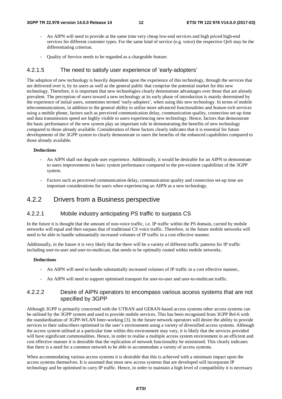- An AIPN will need to provide at the same time very cheap low-end services and high priced high-end services for different customer types. For the same kind of service (e.g. voice) the respective QoS may be the differentiating criterion.
- Quality of Service needs to be regarded as a chargeable feature.

### 4.2.1.5 The need to satisfy user experience of 'early-adopters'

The adoption of new technology is heavily dependent upon the experience of this technology, through the services that are delivered over it, by its users as well as the general public that comprise the potential market for this new technology. Therefore, it is important that new technologies clearly demonstrate advantages over those that are already prevalent. The perception of users toward a new technology at its early phase of introduction is mainly determined by the experience of initial users, sometimes termed 'early-adopters', when using this new technology. In terms of mobile telecommunications, in addition to the general ability to utilise more advanced functionalities and feature-rich services using a mobile phone, factors such as perceived communication delay, communication quality, connection set-up time and data transmission speed are highly visible to users experiencing new technology. Hence, factors that demonstrate the basic performance of the new system play an important role in demonstrating the benefits of new technology compared to those already available. Consideration of these factors clearly indicates that it is essential for future developments of the 3GPP system to clearly demonstrate to users the benefits of the enhanced capabilities compared to those already available.

#### **Deductions**

- An AIPN shall not degrade user experience. Additionally, it would be desirable for an AIPN to demonstrate to users improvements in basic system performance compared to the pre-existent capabilities of the 3GPP system.
- Factors such as perceived communication delay, communication quality and connection set-up time are important considerations for users when experiencing an AIPN as a new technology.

### 4.2.2 Drivers from a Business perspective

#### 4.2.2.1 Mobile industry anticipating PS traffic to surpass CS

In the future it is thought that the amount of non-voice traffic, i.e. IP traffic within the PS domain, carried by mobile networks will equal and then surpass that of traditional CS voice traffic. Therefore, in the future mobile networks will need to be able to handle substantially increased volumes of IP traffic in a cost effective manner.

Additionally, in the future it is very likely that the there will be a variety of different traffic patterns for IP traffic including user-to-user and user-to-multicast, that needs to be optimally routed within mobile networks.

#### **Deductions**

- An AIPN will need to handle substantially increased volumes of IP traffic in a cost effective manner,.
- An AIPN will need to support optimised transport for user-to-user and user-to-multicast traffic.

#### 4.2.2.2 Desire of AIPN operators to encompass various access systems that are not specified by 3GPP

Although 3GPP is primarily concerned with the UTRAN and GERAN-based access systems other access systems can be utilised by the 3GPP system and used to provide mobile services. This has been recognised from 3GPP Rel-6 with the standardisation of 3GPP-WLAN Inter-working [3]. In the future network operators will desire the ability to provide services to their subscribers optimised to the user's environment using a variety of diversified access systems. Although the access system utilised at a particular time within this environment may vary, it is likely that the services provided will have significant commonalities. Hence, in order to realise a multiple access system environment in an efficient and cost effective manner it is desirable that the replication of network functionality be minimised. This clearly indicates that there is a need for a common network to be able to accommodate a variety of access systems.

When accommodating various access systems it is desirable that this is achieved with a minimum impact upon the access systems themselves. It is assumed that most new access systems that are developed will incorporate IP technology and be optimised to carry IP traffic. Hence, in order to maintain a high level of compatibility it is necessary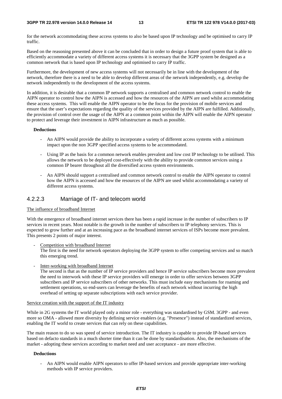#### **3GPP TR 22.978 version 14.0.0 Release 14 13 ETSI TR 122 978 V14.0.0 (2017-03)**

for the network accommodating these access systems to also be based upon IP technology and be optimised to carry IP traffic.

Based on the reasoning presented above it can be concluded that in order to design a future proof system that is able to efficiently accommodate a variety of different access systems it is necessary that the 3GPP system be designed as a common network that is based upon IP technology and optimised to carry IP traffic.

Furthermore, the development of new access systems will not necessarily be in line with the development of the network, therefore there is a need to be able to develop different areas of the network independently, e.g. develop the network independently to the development of the access systems.

In addition, it is desirable that a common IP network supports a centralised and common network control to enable the AIPN operator to control how the AIPN is accessed and how the resources of the AIPN are used whilst accommodating these access systems. This will enable the AIPN operator to be the focus for the provision of mobile services and ensure that the user's expectations regarding the quality of the services provided by the AIPN are fulfilled. Additionally, the provision of control over the usage of the AIPN at a common point within the AIPN will enable the AIPN operator to protect and leverage their investment in AIPN infrastructure as much as possible.

#### **Deductions**

- An AIPN would provide the ability to incorporate a variety of different access systems with a minimum impact upon the non 3GPP specified access systems to be accommodated.
- Using IP as the basis for a common network enables prevalent and low cost IP technology to be utilised. This allows the network to be deployed cost-effectively with the ability to provide common services using a common IP bearer throughout all the diversified access system environments.
- An AIPN should support a centralised and common network control to enable the AIPN operator to control how the AIPN is accessed and how the resources of the AIPN are used whilst accommodating a variety of different access systems.

### 4.2.2.3 Marriage of IT- and telecom world

#### The influence of broadband Internet

With the emergence of broadband internet services there has been a rapid increase in the number of subscribers to IP services in recent years. Most notable is the growth in the number of subscribers to IP telephony services. This is expected to grow further and at an increasing pace as the broadband internet services of ISPs become more prevalent. This presents 2 points of major interest.

Competition with broadband Internet

The first is the need for network operators deploying the 3GPP system to offer competing services and so match this emerging trend.

Inter-working with broadband Internet

The second is that as the number of IP service providers and hence IP service subscribers become more prevalent the need to interwork with these IP service providers will emerge in order to offer services between 3GPP subscribers and IP service subscribers of other networks. This must include easy mechanisms for roaming and settlement operations, so end-users can leverage the benefits of each network without incurring the high overhead of setting up separate subscriptions with each service provider.

#### Service creation with the support of the IT industry

While in 2G systems the IT world played only a minor role - everything was standardised by GSM. 3GPP - and even more so OMA - allowed more diversity by defining service enablers (e.g. "Presence") instead of standardized services, enabling the IT world to create services that can rely on these capabilities.

The main reason to do so was speed of service introduction. The IT industry is capable to provide IP-based services based on defacto standards in a much shorter time than it can be done by standardisation. Also, the mechanisms of the market - adopting these services according to market need and user acceptance - are more effective.

#### **Deductions**

- An AIPN would enable AIPN operators to offer IP-based services and provide appropriate inter-working methods with IP service providers.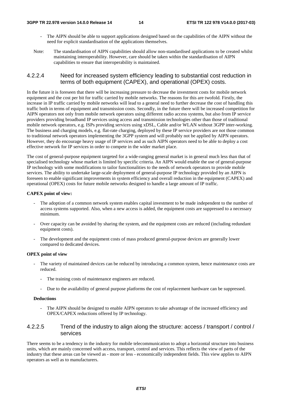- The AIPN should be able to support applications designed based on the capabilities of the AIPN without the need for explicit standardisation of the applications themselves.
- Note: The standardisation of AIPN capabilities should allow non-standardised applications to be created whilst maintaining interoperability. However, care should be taken within the standardisation of AIPN capabilities to ensure that interoperability is maintained.

### 4.2.2.4 Need for increased system efficiency leading to substantial cost reduction in terms of both equipment (CAPEX), and operational (OPEX) costs.

In the future it is foreseen that there will be increasing pressure to decrease the investment costs for mobile network equipment and the cost per bit for traffic carried by mobile networks. The reasons for this are twofold. Firstly, the increase in IP traffic carried by mobile networks will lead to a general need to further decrease the cost of handling this traffic both in terms of equipment and transmission costs. Secondly, in the future there will be increased competition for AIPN operators not only from mobile network operators using different radio access systems, but also from IP service providers providing broadband IP services using access and transmission technologies other than those of traditional mobile network operators, e.g. ISPs providing services using xDSL, Cable and/or WLAN without 3GPP inter-working. The business and charging models, e.g. flat-rate charging, deployed by these IP service providers are not those common to traditional network operators implementing the 3GPP system and will probably not be applied by AIPN operators. However, they do encourage heavy usage of IP services and as such AIPN operators need to be able to deploy a cost effective network for IP services in order to compete in the wider market place.

The cost of general-purpose equipment targeted for a wide-ranging general market is in general much less than that of specialised technology whose market is limited by specific criteria. An AIPN would enable the use of general-purpose IP technology with some modifications to tailor functionalities to the needs of network operators to provide mobile services. The ability to undertake large-scale deployment of general-purpose IP technology provided by an AIPN is foreseen to enable significant improvements in system efficiency and overall reduction in the equipment (CAPEX) and operational (OPEX) costs for future mobile networks designed to handle a large amount of IP traffic.

#### **CAPEX point of view:**

- The adoption of a common network system enables capital investment to be made independent to the number of access systems supported. Also, when a new access is added, the equipment costs are suppressed to a necessary minimum.
- Over capacity can be avoided by sharing the system, and the equipment costs are reduced (including redundant equipment costs).
- The development and the equipment costs of mass produced general-purpose devices are generally lower compared to dedicated devices.

#### **OPEX point of view**

- The variety of maintained devices can be reduced by introducing a common system, hence maintenance costs are reduced.
	- The training costs of maintenance engineers are reduced.
	- Due to the availability of general purpose platforms the cost of replacement hardware can be suppressed.

#### **Deductions**

- The AIPN should be designed to enable AIPN operators to take advantage of the increased efficiency and OPEX/CAPEX reductions offered by IP technology.

### 4.2.2.5 Trend of the industry to align along the structure: access / transport / control / services

There seems to be a tendency in the industry for mobile telecommunication to adopt a horizontal structure into business units, which are mainly concerned with access, transport, control and services. This reflects the view of parts of the industry that these areas can be viewed as - more or less - economically independent fields. This view applies to AIPN operators as well as to manufacturers.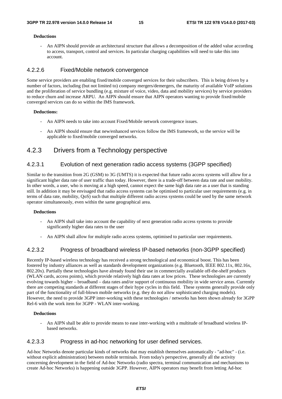#### **Deductions**

- An AIPN should provide an architectural structure that allows a decomposition of the added value according to access, transport, control and services. In particular charging capabilities will need to take this into account.

#### 4.2.2.6 Fixed/Mobile network convergence

Some service providers are enabling fixed/mobile converged services for their subscribers. This is being driven by a number of factors, including (but not limited to) company mergers/demergers, the maturity of available VoIP solutions and the proliferation of service bundling (e.g. mixture of voice, video, data and mobility services) by service providers to reduce churn and increase ARPU. An AIPN should ensure that AIPN operators wanting to provide fixed/mobile converged services can do so within the IMS framework.

#### **Deductions:**

- An AIPN needs to take into account Fixed/Mobile network convergence issues.
- An AIPN should ensure that new/enhanced services follow the IMS framework, so the service will be applicable to fixed/mobile converged networks.

### 4.2.3 Drivers from a Technology perspective

### 4.2.3.1 Evolution of next generation radio access systems (3GPP specified)

Similar to the transition from 2G (GSM) to 3G (UMTS) it is expected that future radio access systems will allow for a significant higher data rate of user traffic than today. However, there is a trade-off between data rate and user mobility. In other words, a user, who is moving at a high speed, cannot expect the same high data rate as a user that is standing still. In addition it may be envisaged that radio access systems can be optimised to particular user requirements (e.g. in terms of data rate, mobility, QoS) such that multiple different radio access systems could be used by the same network operator simultaneously, even within the same geographical area.

#### **Deductions**

- An AIPN shall take into account the capability of next generation radio access systems to provide significantly higher data rates to the user
- An AIPN shall allow for multiple radio access systems, optimised to particular user requirements.

### 4.2.3.2 Progress of broadband wireless IP-based networks (non-3GPP specified)

Recently IP-based wireless technology has received a strong technological and economical boost. This has been fostered by industry alliances as well as standards development organizations (e.g. Bluetooth, IEEE 802.11x, 802.16x, 802.20x). Partially these technologies have already found their use in commercially available off-the-shelf products (WLAN cards, access points), which provide relatively high data rates at low prices. These technologies are currently evolving towards higher – broadband – data rates and/or support of continuous mobility in wide service areas. Currently there are competing standards at different stages of their hype cycles in this field. These systems generally provide only part of the functionality of full-blown mobile networks (e.g. they do not allow sophisticated charging models). However, the need to provide 3GPP inter-working with these technologies / networks has been shown already for 3GPP Rel-6 with the work item for 3GPP - WLAN inter-working.

#### **Deductions**

- An AIPN shall be able to provide means to ease inter-working with a multitude of broadband wireless IPbased networks.

#### 4.2.3.3 Progress in ad-hoc networking for user defined services.

Ad-hoc Networks denote particular kinds of networks that may establish themselves automatically - "ad-hoc" - (i.e. without explicit administration) between mobile terminals. From today's perspective, generally all the activity concerning development in the field of Ad-hoc Networks (radio spectra, terminal communication and mechanisms to create Ad-hoc Networks) is happening outside 3GPP. However, AIPN operators may benefit from letting Ad-hoc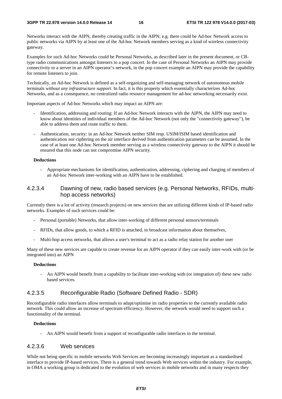Networks interact with the AIPN, thereby creating traffic in the AIPN; e.g. there could be Ad-hoc Network access to public networks via AIPN by at least one of the Ad-hoc Network members serving as a kind of wireless connectivity gateway.

Examples for such Ad-hoc Networks could be Personal Networks, as described later in the present document, or CBtype radio communications amongst listeners to a pop concert. In the case of Personal Networks an AIPN may provide connectivity to a server in an AIPN operator's network, in the pop concert example an AIPN may provide the capability for remote listeners to join.

Technically, an Ad-hoc Network is defined as a self-organizing and self-managing network of autonomous mobile terminals *without any infrastructure support*. In fact, it is this property which essentially characterizes Ad-hoc Networks, and as a consequence, no centralized radio resource management for ad-hoc networking necessarily exist.

Important aspects of Ad-hoc Networks which may impact an AIPN are:

- Identification, addressing and routing: If an Ad-hoc Network interacts with the AIPN, the AIPN may need to know about identities of individual members of the Ad-hoc Network (not only the "connectivity gateway"), be able to address them and route traffic to them.
- Authentication, security: in an Ad-hoc Network neither SIM resp. USIM/ISIM based identification and authentication nor ciphering on the air interface derived from authentication parameters can be assumed. In the case of at least one Ad-hoc Network member serving as a wireless connectivity gateway to the AIPN it should be ensured that this node can not compromise AIPN security.

#### **Deductions**

- Appropriate mechanisms for identification, authentication, addressing, ciphering and charging of members of an Ad-hoc Network inter-working with an AIPN have to be established.

### 4.2.3.4 Dawning of new, radio based services (e.g. Personal Networks, RFIDs, multihop access networks)

Currently there is a lot of activity (research projects) on new services that are utilizing different kinds of IP-based radio networks. Examples of such services could be:

- Personal (portable) Networks, that allow inter-working of different personal sensors/terminals
- RFIDs, that allow goods, to which a RFID is attached, to broadcast information about themselves,
- Multi-hop access networks, that allows a user's terminal to act as a radio relay station for another user

Many of these new services are capable to create revenue for an AIPN operator if they can easily inter-work with (or be integrated into) an AIPN

#### **Deductions**

- An AIPN would benefit from a capability to facilitate inter-working with (or integration of) these new radio based services.

### 4.2.3.5 Reconfigurable Radio (Software Defined Radio - SDR)

Reconfigurable radio interfaces allow terminals to adapt/optimise its radio properties to the currently available radio network. This could allow an increase of spectrum efficiency. However, the network would need to support such a functionality of the terminal.

#### **Deductions**

- An AIPN would benefit from a support of reconfigurable radio interfaces in the terminal.

### 4.2.3.6 Web services

While not being specific to mobile networks Web Services are becoming increasingly important as a standardised interface to provide IP-based services. There is a general trend towards Web services within the industry. For example, in OMA a working group is dedicated to the evolution of web services in mobile networks and in many respects they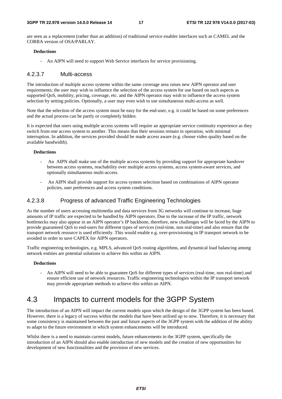are seen as a replacement (rather than an addition) of traditional service enabler interfaces such as CAMEL and the CORBA version of OSA/PARLAY.

#### **Deductions**

- An AIPN will need to support Web Service interfaces for service provisioning.

#### 4.2.3.7 Multi-access

The introduction of multiple access systems within the same coverage area raises new AIPN operator and user requirements; the user may wish to influence the selection of the access system for use based on such aspects as supported QoS, mobility, pricing, coverage, etc. and the AIPN operator may wish to influence the access system selection by setting policies. Optionally, a user may even wish to use simultaneous multi-access as well.

Note that the selection of the access system must be easy for the end-user, e.g. it could be based on some preferences and the actual process can be partly or completely hidden.

It is expected that users using multiple access systems will require an appropriate service continuity experience as they switch from one access system to another. This means that their sessions remain in operation, with minimal interruption. In addition, the services provided should be made access aware (e.g. choose video quality based on the available bandwidth).

#### **Deductions**

- An AIPN shall make use of the multiple access systems by providing support for appropriate handover between access systems, reachability over multiple access systems, access system-aware services, and optionally simultaneous multi-access.
- An AIPN shall provide support for access system selection based on combinations of AIPN operator policies, user preferences and access system conditions.

### 4.2.3.8 Progress of advanced Traffic Engineering Technologies

As the number of users accessing multimedia and data services from 3G networks will continue to increase, huge amounts of IP traffic are expected to be handled by AIPN operators. Due to the increase of the IP traffic, network bottlenecks may also appear in an AIPN operator's IP backbone, therefore, new challenges will be faced by the AIPN to provide guaranteed QoS to end-users for different types of services (real-time, non real-time) and also ensure that the transport network resource is used efficiently. This would enable e.g. over-provisioning in IP transport network to be avoided in order to save CAPEX for AIPN operators.

Traffic engineering technologies, e.g. MPLS, advanced QoS routing algorithms, and dynamical load balancing among network entities are potential solutions to achieve this within an AIPN.

#### **Deductions**

- An AIPN will need to be able to guarantee QoS for different types of services (real-time, non real-time) and ensure efficient use of network resources. Traffic engineering technologies within the IP transport network may provide appropriate methods to achieve this within an AIPN.

# 4.3 Impacts to current models for the 3GPP System

The introduction of an AIPN will impact the current models upon which the design of the 3GPP system has been based. However, there is a legacy of success within the models that have been utilised up to now. Therefore, it is necessary that some consistency is maintained between the past and future aspects of the 3GPP system with the addition of the ability to adapt to the future environment in which system enhancements will be introduced.

Whilst there is a need to maintain current models, future enhancements in the 3GPP system, specifically the introduction of an AIPN should also enable introduction of new models and the creation of new opportunities for development of new functionalities and the provision of new services.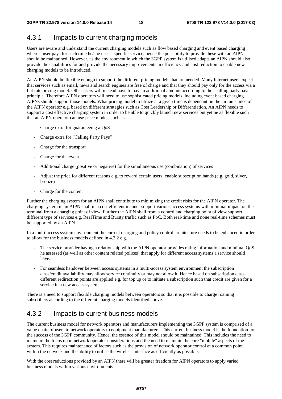# 4.3.1 Impacts to current charging models

Users are aware and understand the current charging models such as flow based charging and event based charging where a user pays for each time he/she uses a specific service, hence the possibility to provide these with an AIPN should be maintained. However, as the environment in which the 3GPP system is utilised adapts an AIPN should also provide the capabilities for and provide the necessary improvements in efficiency and cost reduction to enable new charging models to be introduced.

An AIPN should be flexible enough to support the different pricing models that are needed. Many Internet users expect that services such as email, news and search engines are free of charge and that they should pay only for the access via a flat rate pricing model. Other users will instead have to pay an additional amount according to the "calling party pays" principle. Therefore AIPN operators will need to use sophisticated pricing models, including event based charging. AIPNs should support those models. What pricing model to utilize at a given time is dependant on the circumstance of the AIPN operator e.g. based on different strategies such as Cost Leadership or Differentiation. An AIPN needs to support a cost effective charging system in order to be able to quickly launch new services but yet be as flexible such that an AIPN operator can use price models such as:

- Charge extra for guaranteeing a OoS
- Charge extra for "Calling Party Pays"
- Charge for the transport
- Charge for the event
- Additional charge (positive or negative) for the simultaneous use (combination) of services
- Adjust the price for different reasons e.g. to reward certain users, enable subscription bands (e.g. gold, silver, bronze)
- Charge for the content

Further the charging system for an AIPN shall contribute to minimizing the credit risks for the AIPN operator. The charging system in an AIPN shall in a cost efficient manner support various access systems with minimal impact on the terminal from a charging point of view. Further the AIPN shall from a control and charging point of view support different type of services e.g. RealTime and Bursty traffic such as PoC. Both real-time and none real-time schemes must be supported by an AIPN

In a multi-access system environment the current charging and policy control architecture needs to be enhanced in order to allow for the business models defined in 4.3.2 e.g.

- The service provider having a relationship with the AIPN operator provides rating information and minimal QoS he assessed (as well as other content related polices) that apply for different access systems a service should have.
- For seamless handover between access systems in a multi-access system environment the subscription class/credit availability may allow service continuity or may not allow it. Hence based on subscription class different redirection points are applied e.g. for top up or to initiate a subscription such that credit are given for a service in a new access system.

There is a need to support flexible charging models between operators so that it is possible to charge roaming subscribers according to the different charging models identified above.

# 4.3.2 Impacts to current business models

The current business model for network operators and manufacturers implementing the 3GPP system is comprised of a value chain of users to network operators to equipment manufacturers. This current business model is the foundation for the success of the 3GPP community. Hence, the essence of this model should be maintained. This includes the need to maintain the focus upon network operator considerations and the need to maintain the core "mobile" aspects of the system. This requires maintenance of factors such as the provision of network operator control at a common point within the network and the ability to utilise the wireless interface as efficiently as possible.

With the cost reductions provided by an AIPN there will be greater freedom for AIPN operators to apply varied business models within various environments.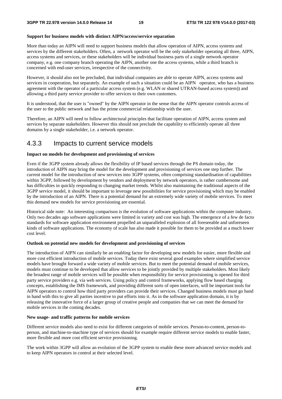#### **Support for business models with distinct AIPN/access/service separation**

More than today an AIPN will need to support business models that allow operation of AIPN, access systems and services by the different stakeholders. Often, a network operator will be the only stakeholder operating all three, AIPN, access systems and services, or these stakeholders will be individual business parts of a single network operator company, e.g. one company branch operating the AIPN, another one the access systems, while a third branch is concerned with end-user services, irrespective of the connectivity.

However, it should also not be precluded, that individual companies are able to operate AIPN, access systems and services in cooperation, but separately. An example of such a situation could be an AIPN operator, who has a business agreement with the operator of a particular access system (e.g. WLAN or shared UTRAN-based access system)) and allowing a third party service provider to offer services to their own customers.

It is understood, that the user is "owned" by the AIPN operator in the sense that the AIPN operator controls access of the user to the public network and has the prime commercial relationship with the user.

Therefore, an AIPN will need to follow architectural principles that facilitate operation of AIPN, access system and services by separate stakeholders. However this should not preclude the capability to efficiently operate all three domains by a single stakeholder, i.e. a network operator.

### 4.3.3 Impacts to current service models

#### **Impact on models for development and provisioning of services**

Even if the 3GPP system already allows the flexibility of IP based services through the PS domain today, the introduction of AIPN may bring the model for the development and provisioning of services one step further. The current model for the introduction of new services into 3GPP systems, often comprising standardisation of capabilities within 3GPP, followed by development by vendors and deployment by network operators, is rather cumbersome and has difficulties in quickly responding to changing market trends. Whilst also maintaining the traditional aspects of the 3GPP service model, it should be important to leverage new possibilities for service provisioning which may be enabled by the introduction of an AIPN. There is a potential demand for an extremely wide variety of mobile services. To meet this demand new models for service provisioning are essential.

Historical side note: An interesting comparison is the evolution of software applications within the computer industry. Only two decades ago software applications were limited in variety and cost was high. The emergence of a few de facto standards for software application environment propelled an unparalleled explosion of all foreseeable and unforeseen kinds of software applications. The economy of scale has also made it possible for them to be provided at a much lower cost level.

#### **Outlook on potential new models for development and provisioning of services**

The introduction of AIPN can similarly be an enabling factor for developing new models for easier, more flexible and more cost efficient introduction of mobile services. Today there exist several good examples where simplified service models have brought forward a wide variety of mobile services. But to meet the potential demand of mobile services, models must continue to be developed that allow services to be jointly provided by multiple stakeholders. Most likely the broadest range of mobile services will be possible when responsibility for service provisioning is opened for third party service providers e.g. via web services. Using policy and control frameworks, applying flow based charging concepts, establishing the IMS framework, and providing different sorts of open interfaces, will be important tools for AIPN operators to control how third party providers can provide their services. Changed business models must go hand in hand with this to give all parties incentive to put efforts into it. As in the software application domain, it is by releasing the innovative force of a larger group of creative people and companies that we can meet the demand for mobile services in the coming decades.

#### **New usage- and traffic patterns for mobile services**

Different service models also need to exist for different categories of mobile services. Person-to-content, person-toperson, and machine-to-machine type of services should for example require different service models to enable faster, more flexible and more cost efficient service provisioning.

The work within 3GPP will allow an evolution of the 3GPP system to enable these more advanced service models and to keep AIPN operators in control at their selected level.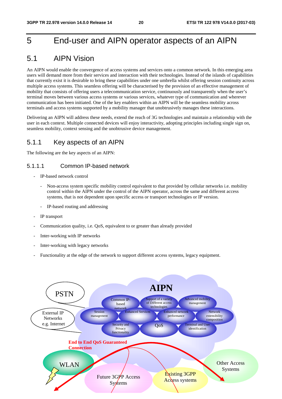# 5 End-user and AIPN operator aspects of an AIPN

# 5.1 AIPN Vision

An AIPN would enable the convergence of access systems and services onto a common network. In this emerging area users will demand more from their services and interaction with their technologies. Instead of the islands of capabilities that currently exist it is desirable to bring these capabilities under one umbrella whilst offering session continuity across multiple access systems. This seamless offering will be characterised by the provision of an effective management of mobility that consists of offering users a telecommunication service, continuously and transparently when the user's terminal moves between various access systems or various services, whatever type of communication and wherever communication has been initiated. One of the key enablers within an AIPN will be the seamless mobility across terminals and access systems supported by a mobility manager that unobtrusively manages these interactions.

Delivering an AIPN will address these needs, extend the reach of 3G technologies and maintain a relationship with the user in each context. Multiple connected devices will enjoy interactivity, adopting principles including single sign on, seamless mobility, context sensing and the unobtrusive device management.

## 5.1.1 Key aspects of an AIPN

The following are the key aspects of an AIPN:

### 5.1.1.1 Common IP-based network

- IP-based network control
	- Non-access system specific mobility control equivalent to that provided by cellular networks *i.e.* mobility control within the AIPN under the control of the AIPN operator, across the same and different access systems, that is not dependent upon specific access or transport technologies or IP version.
	- IP-based routing and addressing
- IP transport
- Communication quality, i.e. QoS, equivalent to or greater than already provided
- Inter-working with IP networks
- Inter-working with legacy networks
- Functionality at the edge of the network to support different access systems, legacy equipment.

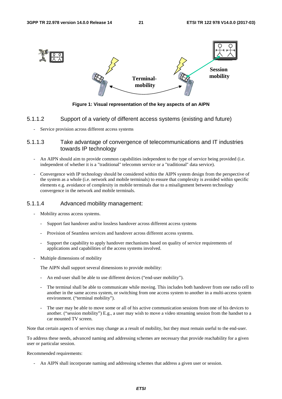![](_page_21_Figure_3.jpeg)

**Figure 1: Visual representation of the key aspects of an AIPN** 

### 5.1.1.2 Support of a variety of different access systems (existing and future)

Service provision across different access systems

### 5.1.1.3 Take advantage of convergence of telecommunications and IT industries towards IP technology

- An AIPN should aim to provide common capabilities independent to the type of service being provided (i.e. independent of whether it is a "traditional" telecomm service or a "traditional" data service).
- Convergence with IP technology should be considered within the AIPN system design from the perspective of the system as a whole (i.e. network and mobile terminals) to ensure that complexity is avoided within specific elements e.g. avoidance of complexity in mobile terminals due to a misalignment between technology convergence in the network and mobile terminals.

#### 5.1.1.4 Advanced mobility management:

- Mobility across access systems.
	- Support fast handover and/or lossless handover across different access systems
	- Provision of Seamless services and handover across different access systems.
	- Support the capability to apply handover mechanisms based on quality of service requirements of applications and capabilities of the access systems involved.
- Multiple dimensions of mobility

The AIPN shall support several dimensions to provide mobility:

- An end-user shall be able to use different devices ("end-user mobility").
- The terminal shall be able to communicate while moving. This includes both handover from one radio cell to another in the same access system, or switching from one access system to another in a multi-access system environment. ("terminal mobility").
- The user may be able to move some or all of his active communication sessions from one of his devices to another. ("session mobility") E.g., a user may wish to move a video streaming session from the handset to a car mounted TV screen.

Note that certain aspects of services may change as a result of mobility, but they must remain useful to the end-user.

To address these needs, advanced naming and addressing schemes are necessary that provide reachability for a given user or particular session.

#### Recommended requirements:

- An AIPN shall incorporate naming and addressing schemes that address a given user or session.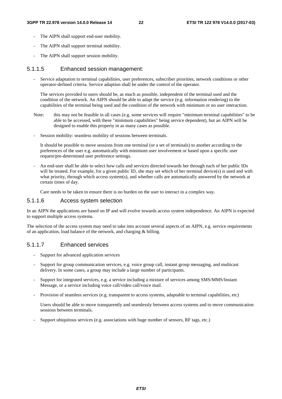- The AIPN shall support end-user mobility.
- The AIPN shall support terminal mobility.
- The AIPN shall support session mobility.

### 5.1.1.5 Enhanced session management:

- Service adaptation to terminal capabilities, user preferences, subscriber priorities, network conditions or other operator-defined criteria. Service adaption shall be under the control of the operator.

The services provided to users should be, as much as possible, independent of the terminal used and the condition of the network. An AIPN should be able to adapt the service (e.g. information rendering) to the capabilities of the terminal being used and the condition of the network with minimum or no user interaction.

- Note: this may not be feasible in all cases (e.g. some services will require "minimum terminal capabilities" to be able to be accessed, with these "minimum capabilities" being service dependent), but an AIPN will be designed to enable this property in as many cases as possible.
- Session mobility: seamless mobility of sessions between terminals.

It should be possible to move sessions from one terminal (or a set of terminals) to another according to the preferences of the user e.g. automatically with minimum user involvement or based upon a specific user request/pre-determined user preference settings.

- An end-user shall be able to select how calls and services directed towards her through each of her public IDs will be treated. For example, for a given public ID, she may set which of her terminal device(s) is used and with what priority, through which access system(s), and whether calls are automatically answered by the network at certain times of day.

Care needs to be taken to ensure there is no burden on the user to interact in a complex way.

### 5.1.1.6 Access system selection

In an AIPN the applications are based on IP and will evolve towards access system independence. An AIPN is expected to support multiple access systems.

The selection of the access system may need to take into account several aspects of an AIPN, e.g. service requirements of an application, load balance of the network, and charging & billing.

### 5.1.1.7 Enhanced services

- Support for advanced application services
- Support for group communication services, e.g. voice group call, instant group messaging, and multicast delivery. In some cases, a group may include a large number of participants.
- Support for integrated services, e.g. a service including a mixture of services among SMS/MMS/Instant Message, or a service including voice call/video call/voice mail.
- Provision of seamless services (e.g. transparent to access systems, adaptable to terminal capabilities, etc)

 Users should be able to move transparently and seamlessly between access systems and to move communication sessions between terminals.

- Support ubiquitous services (e.g. associations with huge number of sensors, RF tags, etc.)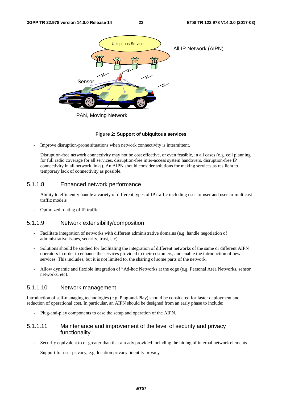![](_page_23_Picture_3.jpeg)

## PAN, Moving Network

#### **Figure 2: Support of ubiquitous services**

Improve disruption-prone situations when network connectivity is intermittent.

Disruption-free network connectivity may not be cost effective, or even feasible, in all cases (e.g. cell planning for full radio coverage for all services, disruption-free inter-access system handovers, disruption-free IP connectivity in all network links). An AIPN should consider solutions for making services as resilient to temporary lack of connectivity as possible.

### 5.1.1.8 Enhanced network performance

- Ability to efficiently handle a variety of different types of IP traffic including user-to-user and user-to-multicast traffic models
- Optimized routing of IP traffic

#### 5.1.1.9 Network extensibility/composition

- Facilitate integration of networks with different administrative domains (e.g. handle negotiation of administrative issues, security, trust, etc).
- Solutions should be studied for facilitating the integration of different networks of the same or different AIPN operators in order to enhance the services provided to their customers, and enable the introduction of new services. This includes, but it is not limited to, the sharing of some parts of the network.
- Allow dynamic and flexible integration of "Ad-hoc Networks at the edge (e.g. Personal Area Networks, sensor networks, etc).

### 5.1.1.10 Network management

Introduction of self-managing technologies (e.g. Plug-and-Play) should be considered for faster deployment and reduction of operational cost. In particular, an AIPN should be designed from an early phase to include:

- Plug-and-play components to ease the setup and operation of the AIPN.

### 5.1.1.11 Maintenance and improvement of the level of security and privacy functionality

- Security equivalent to or greater than that already provided including the hiding of internal network elements
- Support for user privacy, e.g. location privacy, identity privacy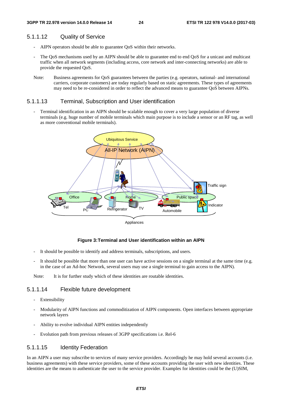### 5.1.1.12 Quality of Service

- AIPN operators should be able to guarantee QoS within their networks.
- The QoS mechanisms used by an AIPN should be able to guarantee end to end QoS for a unicast and multicast traffic when all network segments (including access, core network and inter-connecting networks) are able to provide the requested QoS.
- Note: Business agreements for QoS guarantees between the parties (e.g. operators, national- and international carriers, corporate customers) are today regularly based on static agreements. These types of agreements may need to be re-considered in order to reflect the advanced means to guarantee QoS between AIPNs.

### 5.1.1.13 Terminal, Subscription and User identification

Terminal identification in an AIPN should be scalable enough to cover a very large population of diverse terminals (e.g. huge number of mobile terminals which main purpose is to include a sensor or an RF tag, as well as more conventional mobile terminals).

![](_page_24_Figure_9.jpeg)

#### **Figure 3: Terminal and User identification within an AIPN**

- It should be possible to identify and address terminals, subscriptions, and users.
- It should be possible that more than one user can have active sessions on a single terminal at the same time (e.g. in the case of an Ad-hoc Network, several users may use a single terminal to gain access to the AIPN).

Note: It is for further study which of these identities are routable identities.

### 5.1.1.14 Flexible future development

- Extensibility
- Modularity of AIPN functions and commoditization of AIPN components. Open interfaces between appropriate network layers
- Ability to evolve individual AIPN entities independently
- Evolution path from previous releases of 3GPP specifications i.e. Rel-6

#### 5.1.1.15 Identity Federation

In an AIPN a user may subscribe to services of many service providers. Accordingly he may hold several accounts (i.e. business agreements) with these service providers, some of these accounts providing the user with new identities. These identities are the means to authenticate the user to the service provider. Examples for identities could be the (U)SIM,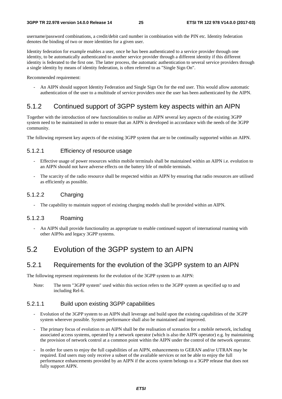username/password combinations, a credit/debit card number in combination with the PIN etc. Identity federation denotes the binding of two or more identities for a given user.

Identity federation for example enables a user, once he has been authenticated to a service provider through one identity, to be automatically authenticated to another service provider through a different identity if this different identity is federated to the first one. The latter process, the automatic authentication to several service providers through a single identity by means of identity federation, is often referred to as "Single Sign On".

Recommended requirement:

- An AIPN should support Identity Federation and Single Sign On for the end user. This would allow automatic authentication of the user to a multitude of service providers once the user has been authenticated by the AIPN.

# 5.1.2 Continued support of 3GPP system key aspects within an AIPN

Together with the introduction of new functionalities to realise an AIPN several key aspects of the existing 3GPP system need to be maintained in order to ensure that an AIPN is developed in accordance with the needs of the 3GPP community.

The following represent key aspects of the existing 3GPP system that are to be continually supported within an AIPN.

## 5.1.2.1 Efficiency of resource usage

- Effective usage of power resources within mobile terminals shall be maintained within an AIPN i.e. evolution to an AIPN should not have adverse effects on the battery life of mobile terminals.
- The scarcity of the radio resource shall be respected within an AIPN by ensuring that radio resources are utilised as efficiently as possible.

### 5.1.2.2 Charging

The capability to maintain support of existing charging models shall be provided within an AIPN.

### 5.1.2.3 Roaming

- An AIPN shall provide functionality as appropriate to enable continued support of international roaming with other AIPNs and legacy 3GPP systems.

# 5.2 Evolution of the 3GPP system to an AIPN

## 5.2.1 Requirements for the evolution of the 3GPP system to an AIPN

The following represent requirements for the evolution of the 3GPP system to an AIPN:

Note: The term "3GPP system" used within this section refers to the 3GPP system as specified up to and including Rel-6.

### 5.2.1.1 Build upon existing 3GPP capabilities

- Evolution of the 3GPP system to an AIPN shall leverage and build upon the existing capabilities of the 3GPP system wherever possible. System performance shall also be maintained and improved.
- The primary focus of evolution to an AIPN shall be the realisation of scenarios for a mobile network, including associated access systems, operated by a network operator (which is also the AIPN operator) e.g. by maintaining the provision of network control at a common point within the AIPN under the control of the network operator.
- In order for users to enjoy the full capabilities of an AIPN, enhancements to GERAN and/or UTRAN may be required. End users may only receive a subset of the available services or not be able to enjoy the full performance enhancements provided by an AIPN if the access system belongs to a 3GPP release that does not fully support AIPN.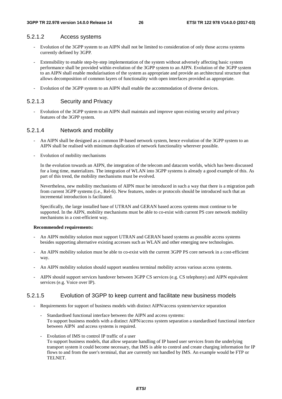#### 5.2.1.2 Access systems

- Evolution of the 3GPP system to an AIPN shall not be limited to consideration of only those access systems currently defined by 3GPP.
- Extensibility to enable step-by-step implementation of the system without adversely affecting basic system performance shall be provided within evolution of the 3GPP system to an AIPN. Evolution of the 3GPP system to an AIPN shall enable modularisation of the system as appropriate and provide an architectural structure that allows decomposition of common layers of functionality with open interfaces provided as appropriate.
- Evolution of the 3GPP system to an AIPN shall enable the accommodation of diverse devices.

### 5.2.1.3 Security and Privacy

- Evolution of the 3GPP system to an AIPN shall maintain and improve upon existing security and privacy features of the 3GPP system.

#### 5.2.1.4 Network and mobility

- An AIPN shall be designed as a common IP-based network system, hence evolution of the 3GPP system to an AIPN shall be realised with minimum duplication of network functionality wherever possible.
- Evolution of mobility mechanisms

 In the evolution towards an AIPN, the integration of the telecom and datacom worlds, which has been discussed for a long time, materializes. The integration of WLAN into 3GPP systems is already a good example of this. As part of this trend, the mobility mechanisms must be evolved.

 Nevertheless, new mobility mechanisms of AIPN must be introduced in such a way that there is a migration path from current 3GPP systems (i.e., Rel-6). New features, nodes or protocols should be introduced such that an incremental introduction is facilitated.

 Specifically, the large installed base of UTRAN and GERAN based access systems must continue to be supported. In the AIPN, mobility mechanisms must be able to co-exist with current PS core network mobility mechanisms in a cost-efficient way.

#### **Recommended requirements:**

- An AIPN mobility solution must support UTRAN and GERAN based systems as possible access systems besides supporting alternative existing accesses such as WLAN and other emerging new technologies.
- An AIPN mobility solution must be able to co-exist with the current 3GPP PS core network in a cost-efficient way.
- An AIPN mobility solution should support seamless terminal mobility across various access systems.
- AIPN should support services handover between 3GPP CS services (e.g. CS telephony) and AIPN equivalent services (e.g. Voice over IP).

#### 5.2.1.5 Evolution of 3GPP to keep current and facilitate new business models

- Requirements for support of business models with distinct AIPN/access system/service separation
	- Standardised functional interface between the AIPN and access systems: To support business models with a distinct AIPN/access system separation a standardised functional interface between AIPN and access systems is required.
	- Evolution of IMS to control IP traffic of a user To support business models, that allow separate handling of IP based user services from the underlying transport system it could become necessary, that IMS is able to control and create charging information for IP flows to and from the user's terminal, that are currently not handled by IMS. An example would be FTP or TELNET.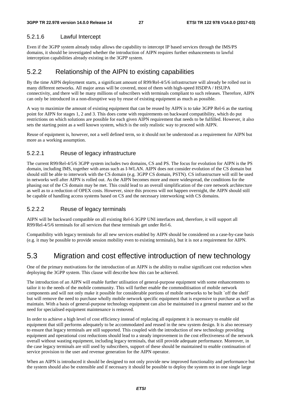### 5.2.1.6 Lawful Intercept

Even if the 3GPP system already today allows the capability to intercept IP based services through the IMS/PS domains, it should be investigated whether the introduction of AIPN requires further enhancements to lawful interception capabilities already existing in the 3GPP system.

## 5.2.2 Relationship of the AIPN to existing capabilities

By the time AIPN deployment starts, a significant amount of R99/Rel-4/5/6 infrastructure will already be rolled out in many different networks. All major areas will be covered, most of them with high-speed HSDPA / HSUPA connectivity, and there will be many millions of subscribers with terminals compliant to such releases. Therefore, AIPN can only be introduced in a non-disruptive way by reuse of existing equipment as much as possible.

A way to maximize the amount of existing equipment that can be reused by AIPN is to take 3GPP Rel-6 as the starting point for AIPN for stages 1, 2 and 3. This does come with requirements on backward compatibility, which do put restrictions on which solutions are possible for each given AIPN requirement that needs to be fulfilled. However, it also sets the starting point as a well known system, which is the only realistic way to proceed with AIPN.

Reuse of equipment is, however, not a well defined term, so it should not be understood as a requirement for AIPN but more as a working assumption.

### 5.2.2.1 Reuse of legacy infrastructure

The current R99/Rel-4/5/6 3GPP system includes two domains, CS and PS. The focus for evolution for AIPN is the PS domain, including IMS, together with areas such as I-WLAN. AIPN does not consider evolution of the CS domain but should still be able to interwork with the CS domain (e.g. 3GPP CS domain, PSTN). CS infrastructure will still be used in networks well after AIPN is rolled out. As the AIPN becomes more and more widespread, the conditions for the phasing out of the CS domain may be met. This could lead to an overall simplification of the core network architecture as well as to a reduction of OPEX costs. However, since this process will not happen overnight, the AIPN should still be capable of handling access systems based on CS and the necessary interworking with CS domains.

### 5.2.2.2 Reuse of legacy terminals

AIPN will be backward compatible on all existing Rel-6 3GPP UNI interfaces and, therefore, it will support all R99/Rel-4/5/6 terminals for all services that these terminals get under Rel-6.

Compatibility with legacy terminals for all new services enabled by AIPN should be considered on a case-by-case basis (e.g. it may be possible to provide session mobility even to existing terminals), but it is not a requirement for AIPN.

# 5.3 Migration and cost effective introduction of new technology

One of the primary motivations for the introduction of an AIPN is the ability to realise significant cost reduction when deploying the 3GPP system. This clause will describe how this can be achieved.

The introduction of an AIPN will enable further utilisation of general-purpose equipment with some enhancements to tailor it to the needs of the mobile community. This will further enable the commoditisation of mobile network components and will not only make it possible for considerable portions of mobile networks to be built `off the shelf` but will remove the need to purchase wholly mobile network specific equipment that is expensive to purchase as well as maintain. With a basis of general-purpose technology equipment can also be maintained in a general manner and so the need for specialised equipment maintenance is removed.

In order to achieve a high level of cost efficiency instead of replacing all equipment it is necessary to enable old equipment that still performs adequately to be accommodated and reused in the new system design. It is also necessary to ensure that legacy terminals are still supported. This coupled with the introduction of new technology providing equipment and operational cost reductions should lead to a steady improvement in the cost effectiveness of the network overall without wasting equipment, including legacy terminals, that still provide adequate performance. Moreover, in the case legacy terminals are still used by subscribers, support of these should be maintained to enable continuation of service provision to the user and revenue generation for the AIPN operator.

When an AIPN is introduced it should be designed to not only provide new improved functionality and performance but the system should also be extensible and if necessary it should be possible to deploy the system not in one single large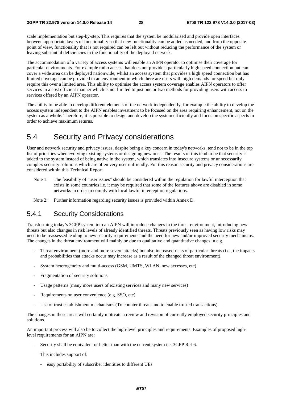scale implementation but step-by-step. This requires that the system be modularised and provide open interfaces between appropriate layers of functionality so that new functionality can be added as needed, and from the opposite point of view, functionality that is not required can be left out without reducing the performance of the system or leaving substantial deficiencies in the functionality of the deployed network.

The accommodation of a variety of access systems will enable an AIPN operator to optimise their coverage for particular environments. For example radio access that does not provide a particularly high speed connection but can cover a wide area can be deployed nationwide, whilst an access system that provides a high speed connection but has limited coverage can be provided in an environment in which there are users with high demands for speed but only require this over a limited area. This ability to optimise the access system coverage enables AIPN operators to offer services in a cost efficient manner which is not limited to just one or two methods for providing users with access to services offered by an AIPN operator.

The ability to be able to develop different elements of the network independently, for example the ability to develop the access system independent to the AIPN enables investment to be focused on the area requiring enhancement, not on the system as a whole. Therefore, it is possible to design and develop the system efficiently and focus on specific aspects in order to achieve maximum returns.

# 5.4 Security and Privacy considerations

User and network security and privacy issues, despite being a key concern in today's networks, tend not to be in the top list of priorities when evolving existing systems or designing new ones. The results of this tend to be that security is added to the system instead of being native in the system, which translates into insecure systems or unnecessarily complex security solutions which are often very user unfriendly. For this reason security and privacy considerations are considered within this Technical Report.

- Note 1: The feasibility of "user issues" should be considered within the regulation for lawful interception that exists in some countries i.e. it may be required that some of the features above are disabled in some networks in order to comply with local lawful interception regulations.
- Note 2: Further information regarding security issues is provided within Annex D.

## 5.4.1 Security Considerations

Transforming today's 3GPP system into an AIPN will introduce changes in the threat environment, introducing new threats but also changes in risk levels of already identified threats. Threats previously seen as having low risks may need to be reassessed leading to new security requirements and the need for new and/or improved security mechanisms. The changes in the threat environment will mainly be due to qualitative and quantitative changes in e.g.

- Threat environment (more and more severe attacks) but also increased risks of particular threats (i.e., the impacts and probabilities that attacks occur may increase as a result of the changed threat environment).
- System heterogeneity and multi-access (GSM, UMTS, WLAN, new accesses, etc)
- Fragmentation of security solutions
- Usage patterns (many more users of existing services and many new services)
- Requirements on user convenience (e.g. SSO, etc)
- Use of trust establishment mechanisms (To counter threats and to enable trusted transactions)

The changes in these areas will certainly motivate a review and revision of currently employed security principles and solutions.

An important process will also be to collect the high-level principles and requirements. Examples of proposed highlevel requirements for an AIPN are:

Security shall be equivalent or better than with the current system i.e. 3GPP Rel-6.

This includes support of:

- easy portability of subscriber identities to different UEs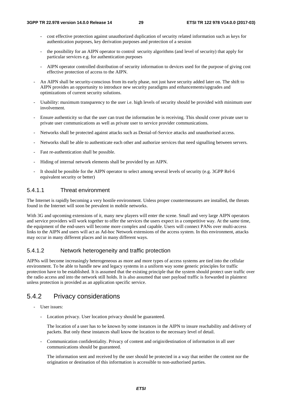- cost effective protection against unauthorized duplication of security related information such as keys for authentication purposes, key derivation purposes and protection of a session
- the possibility for an AIPN operator to control security algorithms (and level of security) that apply for particular services e.g. for authentication purposes
- AIPN operator controlled distribution of security information to devices used for the purpose of giving cost effective protection of access to the AIPN.
- An AIPN shall be security-conscious from its early phase, not just have security added later on. The shift to AIPN provides an opportunity to introduce new security paradigms and enhancements/upgrades and optimizations of current security solutions.
- Usability: maximum transparency to the user i.e. high levels of security should be provided with minimum user involvement.
- Ensure authenticity so that the user can trust the information he is receiving. This should cover private user to private user communications as well as private user to service provider communications.
- Networks shall be protected against attacks such as Denial-of-Service attacks and unauthorised access.
- Networks shall be able to authenticate each other and authorize services that need signalling between servers.
- Fast re-authentication shall be possible.
- Hiding of internal network elements shall be provided by an AIPN.
- It should be possible for the AIPN operator to select among several levels of security (e.g. 3GPP Rel-6 equivalent security or better)

## 5.4.1.1 Threat environment

The Internet is rapidly becoming a very hostile environment. Unless proper countermeasures are installed, the threats found in the Internet will soon be prevalent in mobile networks.

With 3G and upcoming extensions of it, many new players will enter the scene. Small and very large AIPN operators and service providers will work together to offer the services the users expect in a competitive way. At the same time, the equipment of the end-users will become more complex and capable. Users will connect PANs over multi-access links to the AIPN and users will act as Ad-hoc Network extensions of the access system. In this environment, attacks may occur in many different places and in many different ways.

## 5.4.1.2 Network heterogeneity and traffic protection

AIPNs will become increasingly heterogeneous as more and more types of access systems are tied into the cellular environment. To be able to handle new and legacy systems in a uniform way some generic principles for traffic protection have to be established. It is assumed that the existing principle that the system should protect user traffic over the radio access and into the network still holds. It is also assumed that user payload traffic is forwarded in plaintext unless protection is provided as an application specific service.

# 5.4.2 Privacy considerations

- User issues:
	- Location privacy. User location privacy should be guaranteed.

 The location of a user has to be known by some instances in the AIPN to insure reachability and delivery of packets. But only these instances shall know the location to the necessary level of detail.

- Communication confidentiality. Privacy of content and origin/destination of information in all user communications should be guaranteed.

 The information sent and received by the user should be protected in a way that neither the content nor the origination or destination of this information is accessible to non-authorised parties.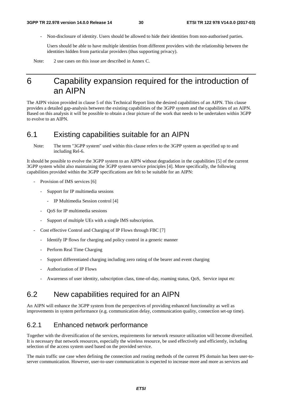- Non-disclosure of identity. Users should be allowed to hide their identities from non-authorised parties.

 Users should be able to have multiple identities from different providers with the relationship between the identities hidden from particular providers (thus supporting privacy).

Note: 2 use cases on this issue are described in Annex C.

# 6 Capability expansion required for the introduction of an AIPN

The AIPN vision provided in clause 5 of this Technical Report lists the desired capabilities of an AIPN. This clause provides a detailed gap-analysis between the existing capabilities of the 3GPP system and the capabilities of an AIPN. Based on this analysis it will be possible to obtain a clear picture of the work that needs to be undertaken within 3GPP to evolve to an AIPN.

# 6.1 Existing capabilities suitable for an AIPN

Note: The term "3GPP system" used within this clause refers to the 3GPP system as specified up to and including Rel-6.

It should be possible to evolve the 3GPP system to an AIPN without degradation in the capabilities [5] of the current 3GPP system whilst also maintaining the 3GPP system service principles [4]. More specifically, the following capabilities provided within the 3GPP specifications are felt to be suitable for an AIPN:

- Provision of IMS services [6]
	- Support for IP multimedia sessions
		- IP Multimedia Session control [4]
	- QoS for IP multimedia sessions
	- Support of multiple UEs with a single IMS subscription.
- Cost effective Control and Charging of IP Flows through FBC [7]
	- Identify IP flows for charging and policy control in a generic manner
	- Perform Real Time Charging
	- Support differentiated charging including zero rating of the bearer and event charging
	- Authorization of IP Flows
	- Awareness of user identity, subscription class, time-of-day, roaming status, QoS, Service input etc

# 6.2 New capabilities required for an AIPN

An AIPN will enhance the 3GPP system from the perspectives of providing enhanced functionality as well as improvements in system performance (e.g. communication delay, communication quality, connection set-up time).

## 6.2.1 Enhanced network performance

Together with the diversification of the services, requirements for network resource utilization will become diversified. It is necessary that network resources, especially the wireless resource, be used effectively and efficiently, including selection of the access system used based on the provided service.

The main traffic use case when defining the connection and routing methods of the current PS domain has been user-toserver communication. However, user-to-user communication is expected to increase more and more as services and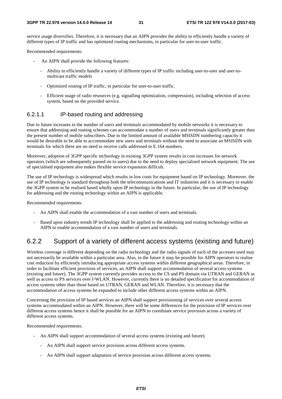service usage diversifies. Therefore, it is necessary that an AIPN provides the ability to efficiently handle a variety of different types of IP traffic and has optimized routing mechanisms, in particular for user-to-user traffic.

Recommended requirements:

- An AIPN shall provide the following features:
	- Ability to efficiently handle a variety of different types of IP traffic including user-to-user and user-tomulticast traffic models
	- Optimized routing of IP traffic, in particular for user-to-user traffic.
	- Efficient usage of radio resources (e.g. signalling optimization, compression), including selection of access system, based on the provided service.

### 6.2.1.1 IP-based routing and addressing

Due to future increases in the number of users and terminals accommodated by mobile networks it is necessary to ensure that addressing and routing schemes can accommodate a number of users and terminals significantly greater than the present number of mobile subscribers. Due to the limited amount of available MSISDN numbering capacity it would be desirable to be able to accommodate new users and terminals without the need to associate an MSISDN with terminals for which there are no need to receive calls addressed to E.164 numbers.

Moreover, adoption of 3GPP specific technology in existing 3GPP system results in cost increases for network operators (which are subsequently passed on to users) due to the need to deploy specialised network equipment. The use of specialised equipment also makes flexible service expansion difficult.

The use of IP technology is widespread which results in low costs for equipment based on IP technology. Moreover, the use of IP technology is standard throughout both the telecommunications and IT industries and it is necessary to enable the 3GPP system to be realised based wholly upon IP technology in the future. In particular, the use of IP technology for addressing and the routing technology within an AIPN is applicable.

Recommended requirements:

- An AIPN shall enable the accommodation of a vast number of users and terminals.
- Based upon industry trends IP technology shall be applied to the addressing and routing technology within an AIPN to enable accommodation of a vast number of users and terminals.

### 6.2.2 Support of a variety of different access systems (existing and future)

Wireless coverage is different depending on the radio technology and the radio signals of each of the accesses used may not necessarily be available within a particular area. Also, in the future it may be possible for AIPN operators to realise cost reduction by efficiently introducing appropriate access systems within different geographical areas. Therefore, in order to facilitate efficient provision of services, an AIPN shall support accommodation of several access systems (existing and future). The 3GPP system currently provides access to the CS and PS domain via UTRAN and GERAN as well as access to PS services over I-WLAN. However, currently there is no detailed specification for accommodation of access systems other than those based on UTRAN, GERAN and WLAN. Therefore, it is necessary that the accommodation of access systems be expanded to include other different access systems within an AIPN.

Concerning the provision of IP based services an AIPN shall support provisioning of services over several access systems accommodated within an AIPN. However, there will be some differences for the provision of IP services over different access systems hence it shall be possible for an AIPN to coordinate service provision across a variety of different access systems.

Recommended requirements:

- An AIPN shall support accommodation of several access systems (existing and future).
	- An AIPN shall support service provision across different access systems.
	- An AIPN shall support adaptation of service provision across different access systems.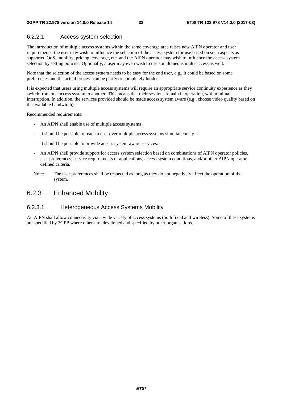### 6.2.2.1 Access system selection

The introduction of multiple access systems within the same coverage area raises new AIPN operator and user requirements; the user may wish to influence the selection of the access system for use based on such aspects as supported QoS, mobility, pricing, coverage, etc. and the AIPN operator may wish to influence the access system selection by setting policies. Optionally, a user may even wish to use simultaneous multi-access as well.

Note that the selection of the access system needs to be easy for the end user, e.g., it could be based on some preferences and the actual process can be partly or completely hidden.

It is expected that users using multiple access systems will require an appropriate service continuity experience as they switch from one access system to another. This means that their sessions remain in operation, with minimal interruption. In addition, the services provided should be made access system aware (e.g., choose video quality based on the available bandwidth).

Recommended requirements:

- An AIPN shall enable use of multiple access systems
- It should be possible to reach a user over multiple access systems simultaneously.
- It should be possible to provide access system-aware services.
- An AIPN shall provide support for access system selection based on combinations of AIPN operator policies, user preferences, service requirements of applications, access system conditions, and/or other AIPN operatordefined criteria.
- Note: The user preferences shall be respected as long as they do not negatively effect the operation of the system.

### 6.2.3 Enhanced Mobility

### 6.2.3.1 Heterogeneous Access Systems Mobility

An AIPN shall allow connectivity via a wide variety of access systems (both fixed and wireless). Some of these systems are specified by 3GPP where others are developed and specified by other organisations.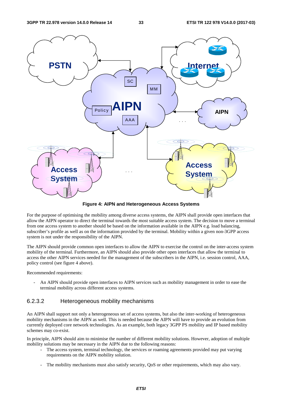![](_page_33_Figure_3.jpeg)

**Figure 4: AIPN and Heterogeneous Access Systems** 

For the purpose of optimising the mobility among diverse access systems, the AIPN shall provide open interfaces that allow the AIPN operator to direct the terminal towards the most suitable access system. The decision to move a terminal from one access system to another should be based on the information available in the AIPN e.g. load balancing, subscriber's profile as well as on the information provided by the terminal. Mobility within a given non-3GPP access system is not under the responsibility of the AIPN.

The AIPN should provide common open interfaces to allow the AIPN to exercise the control on the inter-access system mobility of the terminal. Furthermore, an AIPN should also provide other open interfaces that allow the terminal to access the other AIPN services needed for the management of the subscribers in the AIPN, i.e. session control, AAA, policy control (see figure 4 above).

Recommended requirements:

An AIPN should provide open interfaces to AIPN services such as mobility management in order to ease the terminal mobility across different access systems.

### 6.2.3.2 Heterogeneous mobility mechanisms

An AIPN shall support not only a heterogeneous set of access systems, but also the inter-working of heterogeneous mobility mechanisms in the AIPN as well. This is needed because the AIPN will have to provide an evolution from currently deployed core network technologies. As an example, both legacy 3GPP PS mobility and IP based mobility schemes may co-exist.

In principle, AIPN should aim to minimise the number of different mobility solutions. However, adoption of multiple mobility solutions may be necessary in the AIPN due to the following reasons:

- The access system, terminal technology, the services or roaming agreements provided may put varying requirements on the AIPN mobility solution.
- The mobility mechanisms must also satisfy security, QoS or other requirements, which may also vary.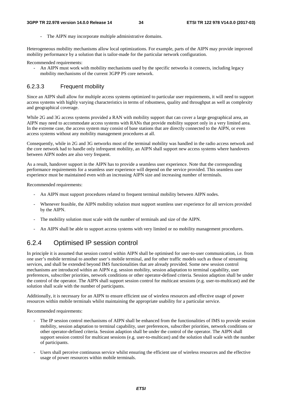The AIPN may incorporate multiple administrative domains.

Heterogeneous mobility mechanisms allow local optimizations. For example, parts of the AIPN may provide improved mobility performance by a solution that is tailor-made for the particular network configuration.

Recommended requirements:

- An AIPN must work with mobility mechanisms used by the specific networks it connects, including legacy mobility mechanisms of the current 3GPP PS core network.

### 6.2.3.3 Frequent mobility

Since an AIPN shall allow for multiple access systems optimized to particular user requirements, it will need to support access systems with highly varying characteristics in terms of robustness, quality and throughput as well as complexity and geographical coverage.

While 2G and 3G access systems provided a RAN with mobility support that can cover a large geographical area, an AIPN may need to accommodate access systems with RANs that provide mobility support only in a very limited area. In the extreme case, the access system may consist of base stations that are directly connected to the AIPN, or even access systems without any mobility management procedures at all.

Consequently, while in 2G and 3G networks most of the terminal mobility was handled in the radio access network and the core network had to handle only infrequent mobility, an AIPN shall support new access systems where handovers between AIPN nodes are also very frequent.

As a result, handover support in the AIPN has to provide a seamless user experience. Note that the corresponding performance requirements for a seamless user experience will depend on the service provided. This seamless user experience must be maintained even with an increasing AIPN size and increasing number of terminals.

Recommended requirements:

- An AIPN must support procedures related to frequent terminal mobility between AIPN nodes.
- Whenever feasible, the AIPN mobility solution must support seamless user experience for all services provided by the AIPN.
- The mobility solution must scale with the number of terminals and size of the AIPN.
- An AIPN shall be able to support access systems with very limited or no mobility management procedures.

## 6.2.4 Optimised IP session control

In principle it is assumed that session control within AIPN shall be optimised for user-to-user communication, i.e. from one user's mobile terminal to another user's mobile terminal, and for other traffic models such as those of streaming services, and shall be extended beyond IMS functionalities that are already provided. Some new session control mechanisms are introduced within an AIPN e.g. session mobility, session adaptation to terminal capability, user preferences, subscriber priorities, network conditions or other operator-defined criteria. Session adaption shall be under the control of the operator. The AIPN shall support session control for multicast sessions (e.g. user-to-multicast) and the solution shall scale with the number of participants.

Additionally, it is necessary for an AIPN to ensure efficient use of wireless resources and effective usage of power resources within mobile terminals whilst maintaining the appropriate usability for a particular service.

Recommended requirements:

- The IP session control mechanisms of AIPN shall be enhanced from the functionalities of IMS to provide session mobility, session adaptation to terminal capability, user preferences, subscriber priorities, network conditions or other operator-defined criteria. Session adaption shall be under the control of the operator. The AIPN shall support session control for multicast sessions (e.g. user-to-multicast) and the solution shall scale with the number of participants.
- Users shall perceive continuous service whilst ensuring the efficient use of wireless resources and the effective usage of power resources within mobile terminals.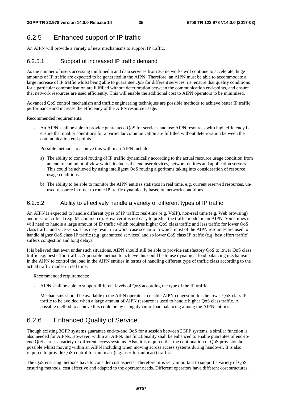# 6.2.5 Enhanced support of IP traffic

An AIPN will provide a variety of new mechanisms to support IP traffic.

### 6.2.5.1 Support of increased IP traffic demand

As the number of users accessing multimedia and data services from 3G networks will continue to accelerate, huge amounts of IP traffic are expected to be generated in the AIPN. Therefore, an AIPN must be able to accommodate a large increase of IP traffic whilst being able to guarantee QoS for different services, i.e. ensure that quality conditions for a particular communication are fulfilled without deterioration between the communication end-points, and ensure that network resources are used efficiently. This will enable the additional cost to AIPN operators to be minimised.

Advanced QoS control mechanism and traffic engineering techniques are possible methods to achieve better IP traffic performance and increase the efficiency of the AIPN resource usage.

Recommended requirements:

An AIPN shall be able to provide guaranteed OoS for services and use AIPN resources with high efficiency i.e. ensure that quality conditions for a particular communication are fulfilled without deterioration between the communication end-points.

Possible methods to achieve this within an AIPN include:

- a) The ability to control routing of IP traffic dynamically according to the actual resource usage condition from an end to end point of view which includes the end user devices, network entities and application servers. This could be achieved by using intelligent QoS routing algorithms taking into consideration of resource usage conditions.
- b) The ability to be able to monitor the AIPN entities statistics in real time, e.g. current reserved resources, unused resource in order to route IP traffic dynamically based on network conditions.

### 6.2.5.2 Ability to effectively handle a variety of different types of IP traffic

An AIPN is expected to handle different types of IP traffic: real-time (e.g. VoIP), non-real time (e.g. Web browsing) and mission critical (e.g. M-Commerce). However it is not easy to predict the traffic model in an AIPN. Sometimes it will need to handle a large amount of IP traffic which requires higher QoS class traffic and less traffic for lower QoS class traffic and vice versa. This may result in a worst case scenario in which most of the AIPN resources are used to handle higher QoS class IP traffic (e.g. guaranteed services) and so lower QoS class IP traffic (e.g. best effort traffic) suffers congestion and long delays.

It is believed that even under such situations, AIPN should still be able to provide satisfactory QoS to lower QoS class traffic e.g. best effort traffic. A possible method to achieve this could be to use dynamical load balancing mechanisms in the AIPN to control the load in the AIPN entities in terms of handling different type of traffic class according to the actual traffic model in real time.

Recommended requirements:

- AIPN shall be able to support different levels of QoS according the type of the IP traffic.
- Mechanisms should be available to the AIPN operator to enable AIPN congestion for the lower QoS class IP traffic to be avoided when a large amount of AIPN resource is used to handle higher QoS class traffic. A possible method to achieve this could be by using dynamic load balancing among the AIPN entities.

## 6.2.6 Enhanced Quality of Service

Though existing 3GPP systems guarantee end-to-end QoS for a session between 3GPP systems, a similar function is also needed for AIPNs. However, within an AIPN, this functionality shall be enhanced to enable guarantee of end-toend QoS across a variety of different access systems. Also, it is required that the continuation of QoS provision be possible whilst moving within an AIPN including when moving across access systems during handover. It is also required to provide QoS control for multicast (e.g. user-to-multicast) traffic.

The QoS ensuring methods have to consider cost aspects. Therefore, it is very important to support a variety of QoS ensuring methods, cost effective and adapted to the operator needs. Different operators have different cost structures,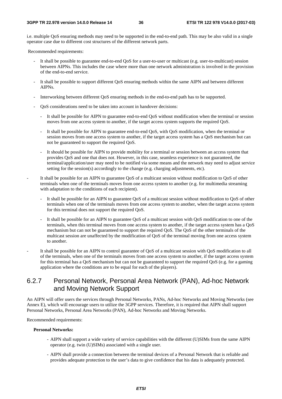i.e. multiple QoS ensuring methods may need to be supported in the end-to-end path. This may be also valid in a single operator case due to different cost structures of the different network parts.

Recommended requirements:

- It shall be possible to guarantee end-to-end QoS for a user-to-user or multicast (e.g. user-to-multicast) session between AIPNs. This includes the case where more than one network administration is involved in the provision of the end-to-end service.
- It shall be possible to support different QoS ensuring methods within the same AIPN and between different AIPNs.
- Interworking between different QoS ensuring methods in the end-to-end path has to be supported.
- QoS considerations need to be taken into account in handover decisions:
	- It shall be possible for AIPN to guarantee end-to-end QoS without modification when the terminal or session moves from one access system to another, if the target access system supports the required QoS.
	- It shall be possible for AIPN to guarantee end-to-end QoS, with QoS modification, when the terminal or session moves from one access system to another, if the target access system has a QoS mechanism but can not be guaranteed to support the required QoS.
	- It should be possible for AIPN to provide mobility for a terminal or session between an access system that provides QoS and one that does not. However, in this case, seamless experience is not guaranteed, the terminal/application/user may need to be notified via some means and the network may need to adjust service setting for the session(s) accordingly to the change (e.g. charging adjustments, etc).
- It shall be possible for an AIPN to guarantee QoS of a multicast session without modification to QoS of other terminals when one of the terminals moves from one access system to another (e.g. for multimedia streaming with adaptation to the conditions of each recipient).
	- It shall be possible for an AIPN to guarantee QoS of a multicast session without modification to QoS of other terminals when one of the terminals moves from one access system to another, when the target access system for this terminal does not support the required QoS.
	- It shall be possible for an AIPN to guarantee OoS of a multicast session with OoS modification to one of the terminals, when this terminal moves from one access system to another, if the target access system has a QoS mechanism but can not be guaranteed to support the required QoS. The QoS of the other terminals of the multicast session are unaffected by the modification of QoS of the terminal moving from one access system to another.
- It shall be possible for an AIPN to control guarantee of QoS of a multicast session with QoS modification to all of the terminals, when one of the terminals moves from one access system to another, if the target access system for this terminal has a QoS mechanism but can not be guaranteed to support the required QoS (e.g. for a gaming application where the conditions are to be equal for each of the players).

## 6.2.7 Personal Network, Personal Area Network (PAN), Ad-hoc Network and Moving Network Support

An AIPN will offer users the services through Personal Networks, PANs, Ad-hoc Networks and Moving Networks (see Annex E), which will encourage users to utilize the 3GPP services. Therefore, it is required that AIPN shall support Personal Networks, Personal Area Networks (PAN), Ad-hoc Networks and Moving Networks.

Recommended requirements:

#### **Personal Networks:**

- AIPN shall support a wide variety of service capabilities with the different (U)SIMs from the same AIPN operator (e.g. twin (U)SIMs) associated with a single user.
- AIPN shall provide a connection between the terminal devices of a Personal Network that is reliable and provides adequate protection to the user's data to give confidence that his data is adequately protected.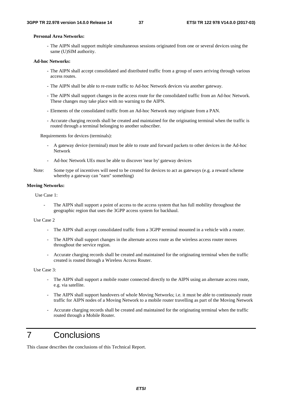#### **Personal Area Networks:**

- The AIPN shall support multiple simultaneous sessions originated from one or several devices using the same (U)SIM authority.

#### **Ad-hoc Networks:**

- The AIPN shall accept consolidated and distributed traffic from a group of users arriving through various access routes.
- The AIPN shall be able to re-route traffic to Ad-hoc Network devices via another gateway.
- The AIPN shall support changes in the access route for the consolidated traffic from an Ad-hoc Network. These changes may take place with no warning to the AIPN.
- Elements of the consolidated traffic from an Ad-hoc Network may originate from a PAN.
- Accurate charging records shall be created and maintained for the originating terminal when the traffic is routed through a terminal belonging to another subscriber.

Requirements for devices (terminals):

- A gateway device (terminal) must be able to route and forward packets to other devices in the Ad-hoc Network
- Ad-hoc Network UEs must be able to discover 'near by' gateway devices
- Note: Some type of incentives will need to be created for devices to act as gateways (e.g. a reward scheme whereby a gateway can "earn" something)

#### **Moving Networks:**

Use Case 1:

The AIPN shall support a point of access to the access system that has full mobility throughout the geographic region that uses the 3GPP access system for backhaul.

#### Use Case 2

- The AIPN shall accept consolidated traffic from a 3GPP terminal mounted in a vehicle with a router.
- The AIPN shall support changes in the alternate access route as the wireless access router moves throughout the service region.
- Accurate charging records shall be created and maintained for the originating terminal when the traffic created is routed through a Wireless Access Router.

Use Case 3:

- The AIPN shall support a mobile router connected directly to the AIPN using an alternate access route, e.g. via satellite.
- The AIPN shall support handovers of whole Moving Networks; i.e. it must be able to continuously route traffic for AIPN nodes of a Moving Network to a mobile router travelling as part of the Moving Network
- Accurate charging records shall be created and maintained for the originating terminal when the traffic routed through a Mobile Router.

# 7 Conclusions

This clause describes the conclusions of this Technical Report.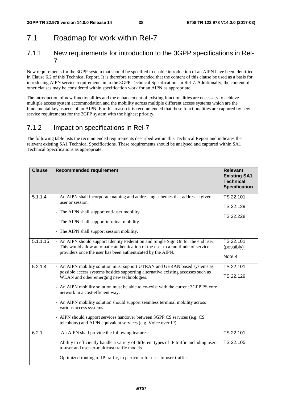# 7.1 Roadmap for work within Rel-7

## 7.1.1 New requirements for introduction to the 3GPP specifications in Rel-7

New requirements for the 3GPP system that should be specified to enable introduction of an AIPN have been identified in Clause 6.2 of this Technical Report. It is therefore recommended that the content of this clause be used as a basis for introducing AIPN service requirements in to the 3GPP Technical Specifications in Rel-7. Additionally, the content of other clauses may be considered within specification work for an AIPN as appropriate.

The introduction of new functionalities and the enhancement of existing functionalities are necessary to achieve multiple access system accommodation and the mobility across multiple different access systems which are the fundamental key aspects of an AIPN. For this reason it is recommended that these functionalities are captured by new service requirements for the 3GPP system with the highest priority.

# 7.1.2 Impact on specifications in Rel-7

The following table lists the recommended requirements described within this Technical Report and indicates the relevant existing SA1 Technical Specifications. These requirements should be analysed and captured within SA1 Technical Specifications as appropriate.

| <b>Clause</b> | <b>Recommended requirement</b>                                                                                                                                                                                                                                                                                                                                                                                                                                                                                                                                                                | <b>Relevant</b><br><b>Existing SA1</b><br><b>Technical</b><br><b>Specification</b> |
|---------------|-----------------------------------------------------------------------------------------------------------------------------------------------------------------------------------------------------------------------------------------------------------------------------------------------------------------------------------------------------------------------------------------------------------------------------------------------------------------------------------------------------------------------------------------------------------------------------------------------|------------------------------------------------------------------------------------|
| 5.1.1.4       | - An AIPN shall incorporate naming and addressing schemes that address a given<br>user or session.<br>- The AIPN shall support end-user mobility.<br>- The AIPN shall support terminal mobility.<br>- The AIPN shall support session mobility.                                                                                                                                                                                                                                                                                                                                                | TS 22.101<br>TS 22.129<br>TS 22.228                                                |
| 5.1.1.15      | - An AIPN should support Identity Federation and Single Sign On for the end user.<br>This would allow automatic authentication of the user to a multitude of service<br>providers once the user has been authenticated by the AIPN.                                                                                                                                                                                                                                                                                                                                                           | TS 22.101<br>(possibly)<br>Note 4                                                  |
| 5.2.1.4       | - An AIPN mobility solution must support UTRAN and GERAN based systems as<br>possible access systems besides supporting alternative existing accesses such as<br>WLAN and other emerging new technologies.<br>- An AIPN mobility solution must be able to co-exist with the current 3GPP PS core<br>network in a cost-efficient way.<br>- An AIPN mobility solution should support seamless terminal mobility across<br>various access systems.<br>- AIPN should support services handover between 3GPP CS services (e.g. CS<br>telephony) and AIPN equivalent services (e.g. Voice over IP). | TS 22.101<br>TS 22.129                                                             |
| 6.2.1         | - An AIPN shall provide the following features:<br>- Ability to efficiently handle a variety of different types of IP traffic including user-<br>to-user and user-to-multicast traffic models<br>- Optimized routing of IP traffic, in particular for user-to-user traffic.                                                                                                                                                                                                                                                                                                                   | TS 22.101<br>TS 22.105                                                             |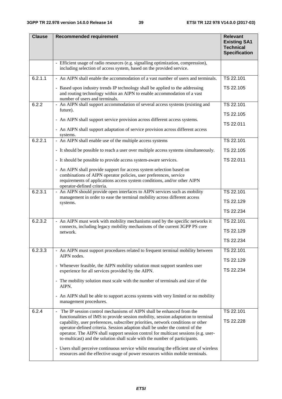| <b>Clause</b> | <b>Recommended requirement</b>                                                                                                                                                                                                                                                                                                                                                                                                                                                                                                                                                                                                                                                                      | <b>Relevant</b><br><b>Existing SA1</b><br><b>Technical</b><br><b>Specification</b> |
|---------------|-----------------------------------------------------------------------------------------------------------------------------------------------------------------------------------------------------------------------------------------------------------------------------------------------------------------------------------------------------------------------------------------------------------------------------------------------------------------------------------------------------------------------------------------------------------------------------------------------------------------------------------------------------------------------------------------------------|------------------------------------------------------------------------------------|
|               | - Efficient usage of radio resources (e.g. signalling optimization, compression),<br>including selection of access system, based on the provided service.                                                                                                                                                                                                                                                                                                                                                                                                                                                                                                                                           |                                                                                    |
| 6.2.1.1       | - An AIPN shall enable the accommodation of a vast number of users and terminals.                                                                                                                                                                                                                                                                                                                                                                                                                                                                                                                                                                                                                   | TS 22.101                                                                          |
|               | - Based upon industry trends IP technology shall be applied to the addressing<br>and routing technology within an AIPN to enable accommodation of a vast<br>number of users and terminals.                                                                                                                                                                                                                                                                                                                                                                                                                                                                                                          | TS 22.105                                                                          |
| 6.2.2         | - An AIPN shall support accommodation of several access systems (existing and<br>future).                                                                                                                                                                                                                                                                                                                                                                                                                                                                                                                                                                                                           | TS 22.101<br>TS 22.105                                                             |
|               | - An AIPN shall support service provision across different access systems.                                                                                                                                                                                                                                                                                                                                                                                                                                                                                                                                                                                                                          | TS 22.011                                                                          |
|               | - An AIPN shall support adaptation of service provision across different access<br>systems.                                                                                                                                                                                                                                                                                                                                                                                                                                                                                                                                                                                                         |                                                                                    |
| 6.2.2.1       | - An AIPN shall enable use of the multiple access systems                                                                                                                                                                                                                                                                                                                                                                                                                                                                                                                                                                                                                                           | TS 22.101                                                                          |
|               | - It should be possible to reach a user over multiple access systems simultaneously.                                                                                                                                                                                                                                                                                                                                                                                                                                                                                                                                                                                                                | TS 22.105                                                                          |
|               | - It should be possible to provide access system-aware services.                                                                                                                                                                                                                                                                                                                                                                                                                                                                                                                                                                                                                                    | TS 22.011                                                                          |
|               | - An AIPN shall provide support for access system selection based on<br>combinations of AIPN operator policies, user preferences, service<br>requirements of applications access system conditions, and/or other AIPN<br>operator-defined criteria.                                                                                                                                                                                                                                                                                                                                                                                                                                                 |                                                                                    |
| 6.2.3.1       | - An AIPN should provide open interfaces to AIPN services such as mobility<br>management in order to ease the terminal mobility across different access                                                                                                                                                                                                                                                                                                                                                                                                                                                                                                                                             | TS 22.101                                                                          |
|               | systems.                                                                                                                                                                                                                                                                                                                                                                                                                                                                                                                                                                                                                                                                                            | TS 22.129                                                                          |
|               |                                                                                                                                                                                                                                                                                                                                                                                                                                                                                                                                                                                                                                                                                                     | TS 22.234                                                                          |
| 6.2.3.2       | - An AIPN must work with mobility mechanisms used by the specific networks it                                                                                                                                                                                                                                                                                                                                                                                                                                                                                                                                                                                                                       | TS 22.101                                                                          |
|               | connects, including legacy mobility mechanisms of the current 3GPP PS core<br>network.                                                                                                                                                                                                                                                                                                                                                                                                                                                                                                                                                                                                              | TS 22.129                                                                          |
|               |                                                                                                                                                                                                                                                                                                                                                                                                                                                                                                                                                                                                                                                                                                     | TS 22.234                                                                          |
| 6.2.3.3       | - An AIPN must support procedures related to frequent terminal mobility between<br>AIPN nodes.                                                                                                                                                                                                                                                                                                                                                                                                                                                                                                                                                                                                      | TS 22.101                                                                          |
|               |                                                                                                                                                                                                                                                                                                                                                                                                                                                                                                                                                                                                                                                                                                     | TS 22.129                                                                          |
|               | - Whenever feasible, the AIPN mobility solution must support seamless user<br>experience for all services provided by the AIPN.                                                                                                                                                                                                                                                                                                                                                                                                                                                                                                                                                                     | TS 22.234                                                                          |
|               | - The mobility solution must scale with the number of terminals and size of the<br>AIPN.                                                                                                                                                                                                                                                                                                                                                                                                                                                                                                                                                                                                            |                                                                                    |
|               | - An AIPN shall be able to support access systems with very limited or no mobility<br>management procedures.                                                                                                                                                                                                                                                                                                                                                                                                                                                                                                                                                                                        |                                                                                    |
| 6.2.4         | The IP session control mechanisms of AIPN shall be enhanced from the<br>$\blacksquare$<br>functionalities of IMS to provide session mobility, session adaptation to terminal<br>capability, user preferences, subscriber priorities, network conditions or other<br>operator-defined criteria. Session adaption shall be under the control of the<br>operator. The AIPN shall support session control for multicast sessions (e.g. user-<br>to-multicast) and the solution shall scale with the number of participants.<br>- Users shall perceive continuous service whilst ensuring the efficient use of wireless<br>resources and the effective usage of power resources within mobile terminals. | TS 22.101<br>TS 22.228                                                             |
|               |                                                                                                                                                                                                                                                                                                                                                                                                                                                                                                                                                                                                                                                                                                     |                                                                                    |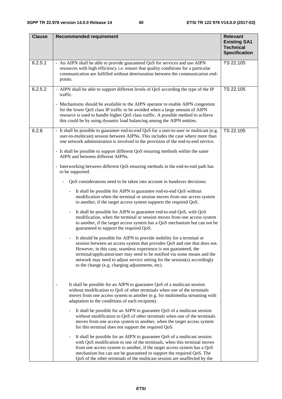| <b>Clause</b> | <b>Recommended requirement</b>                                                                                                                                                                                                                                                                                                                                                                                                     | <b>Relevant</b><br><b>Existing SA1</b><br><b>Technical</b><br><b>Specification</b> |
|---------------|------------------------------------------------------------------------------------------------------------------------------------------------------------------------------------------------------------------------------------------------------------------------------------------------------------------------------------------------------------------------------------------------------------------------------------|------------------------------------------------------------------------------------|
| 6.2.5.1       | - An AIPN shall be able to provide guaranteed QoS for services and use AIPN<br>resources with high efficiency i.e. ensure that quality conditions for a particular<br>communication are fulfilled without deterioration between the communication end-<br>points.                                                                                                                                                                  | TS 22.105                                                                          |
| 6.2.5.2       | AIPN shall be able to support different levels of QoS according the type of the IP<br>traffic.                                                                                                                                                                                                                                                                                                                                     | TS 22.105                                                                          |
|               | - Mechanisms should be available to the AIPN operator to enable AIPN congestion<br>for the lower QoS class IP traffic to be avoided when a large amount of AIPN<br>resource is used to handle higher QoS class traffic. A possible method to achieve<br>this could be by using dynamic load balancing among the AIPN entities.                                                                                                     |                                                                                    |
| 6.2.6         | - It shall be possible to guarantee end-to-end QoS for a user-to-user or multicast (e.g.<br>user-to-multicast) session between AIPNs. This includes the case where more than<br>one network administration is involved in the provision of the end-to-end service.                                                                                                                                                                 | TS 22.105                                                                          |
|               | - It shall be possible to support different QoS ensuring methods within the same<br>AIPN and between different AIPNs.                                                                                                                                                                                                                                                                                                              |                                                                                    |
|               | - Interworking between different QoS ensuring methods in the end-to-end path has<br>to be supported.                                                                                                                                                                                                                                                                                                                               |                                                                                    |
|               | QoS considerations need to be taken into account in handover decisions:                                                                                                                                                                                                                                                                                                                                                            |                                                                                    |
|               | It shall be possible for AIPN to guarantee end-to-end QoS without<br>$\blacksquare$<br>modification when the terminal or session moves from one access system<br>to another, if the target access system supports the required QoS.                                                                                                                                                                                                |                                                                                    |
|               | It shall be possible for AIPN to guarantee end-to-end QoS, with QoS<br>modification, when the terminal or session moves from one access system<br>to another, if the target access system has a QoS mechanism but can not be<br>guaranteed to support the required QoS.                                                                                                                                                            |                                                                                    |
|               | It should be possible for AIPN to provide mobility for a terminal or<br>session between an access system that provides QoS and one that does not.<br>However, in this case, seamless experience is not guaranteed, the<br>terminal/application/user may need to be notified via some means and the<br>network may need to adjust service setting for the session(s) accordingly<br>to the change (e.g. charging adjustments, etc). |                                                                                    |
|               | It shall be possible for an AIPN to guarantee QoS of a multicast session<br>without modification to QoS of other terminals when one of the terminals<br>moves from one access system to another (e.g. for multimedia streaming with<br>adaptation to the conditions of each recipient).                                                                                                                                            |                                                                                    |
|               | It shall be possible for an AIPN to guarantee QoS of a multicast session<br>without modification to QoS of other terminals when one of the terminals<br>moves from one access system to another, when the target access system<br>for this terminal does not support the required QoS.                                                                                                                                             |                                                                                    |
|               | It shall be possible for an AIPN to guarantee QoS of a multicast session<br>with QoS modification to one of the terminals, when this terminal moves<br>from one access system to another, if the target access system has a QoS<br>mechanism but can not be guaranteed to support the required QoS. The<br>QoS of the other terminals of the multicast session are unaffected by the                                               |                                                                                    |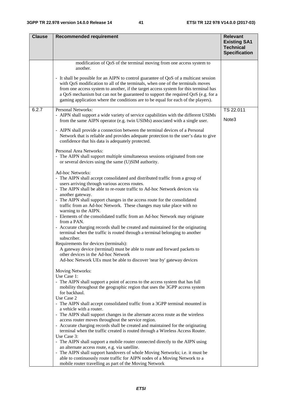| <b>Clause</b> | <b>Recommended requirement</b>                                                                                                                                                                                                                                                                                                                                                                                                            | <b>Relevant</b>                                                 |
|---------------|-------------------------------------------------------------------------------------------------------------------------------------------------------------------------------------------------------------------------------------------------------------------------------------------------------------------------------------------------------------------------------------------------------------------------------------------|-----------------------------------------------------------------|
|               |                                                                                                                                                                                                                                                                                                                                                                                                                                           | <b>Existing SA1</b><br><b>Technical</b><br><b>Specification</b> |
|               | modification of QoS of the terminal moving from one access system to<br>another.                                                                                                                                                                                                                                                                                                                                                          |                                                                 |
|               | - It shall be possible for an AIPN to control guarantee of QoS of a multicast session<br>with QoS modification to all of the terminals, when one of the terminals moves<br>from one access system to another, if the target access system for this terminal has<br>a QoS mechanism but can not be guaranteed to support the required QoS (e.g. for a<br>gaming application where the conditions are to be equal for each of the players). |                                                                 |
| 6.2.7         | <b>Personal Networks:</b><br>- AIPN shall support a wide variety of service capabilities with the different USIMs                                                                                                                                                                                                                                                                                                                         | TS 22.011                                                       |
|               | from the same AIPN operator (e.g. twin USIMs) associated with a single user.                                                                                                                                                                                                                                                                                                                                                              | Note <sub>3</sub>                                               |
|               | - AIPN shall provide a connection between the terminal devices of a Personal<br>Network that is reliable and provides adequate protection to the user's data to give<br>confidence that his data is adequately protected.                                                                                                                                                                                                                 |                                                                 |
|               | Personal Area Networks:<br>- The AIPN shall support multiple simultaneous sessions originated from one<br>or several devices using the same (U)SIM authority.                                                                                                                                                                                                                                                                             |                                                                 |
|               | <b>Ad-hoc Networks:</b>                                                                                                                                                                                                                                                                                                                                                                                                                   |                                                                 |
|               | - The AIPN shall accept consolidated and distributed traffic from a group of                                                                                                                                                                                                                                                                                                                                                              |                                                                 |
|               | users arriving through various access routes.<br>- The AIPN shall be able to re-route traffic to Ad-hoc Network devices via<br>another gateway.                                                                                                                                                                                                                                                                                           |                                                                 |
|               | - The AIPN shall support changes in the access route for the consolidated<br>traffic from an Ad-hoc Network. These changes may take place with no<br>warning to the AIPN.                                                                                                                                                                                                                                                                 |                                                                 |
|               | - Elements of the consolidated traffic from an Ad-hoc Network may originate<br>from a PAN.                                                                                                                                                                                                                                                                                                                                                |                                                                 |
|               | - Accurate charging records shall be created and maintained for the originating<br>terminal when the traffic is routed through a terminal belonging to another<br>subscriber.                                                                                                                                                                                                                                                             |                                                                 |
|               | Requirements for devices (terminals):<br>A gateway device (terminal) must be able to route and forward packets to                                                                                                                                                                                                                                                                                                                         |                                                                 |
|               | other devices in the Ad-hoc Network<br>Ad-hoc Network UEs must be able to discover 'near by' gateway devices                                                                                                                                                                                                                                                                                                                              |                                                                 |
|               | <b>Moving Networks:</b><br>Use Case 1:                                                                                                                                                                                                                                                                                                                                                                                                    |                                                                 |
|               | - The AIPN shall support a point of access to the access system that has full<br>mobility throughout the geographic region that uses the 3GPP access system<br>for backhaul.                                                                                                                                                                                                                                                              |                                                                 |
|               | Use Case 2<br>- The AIPN shall accept consolidated traffic from a 3GPP terminal mounted in                                                                                                                                                                                                                                                                                                                                                |                                                                 |
|               | a vehicle with a router.<br>- The AIPN shall support changes in the alternate access route as the wireless                                                                                                                                                                                                                                                                                                                                |                                                                 |
|               | access router moves throughout the service region.<br>- Accurate charging records shall be created and maintained for the originating<br>terminal when the traffic created is routed through a Wireless Access Router.                                                                                                                                                                                                                    |                                                                 |
|               | Use Case 3:                                                                                                                                                                                                                                                                                                                                                                                                                               |                                                                 |
|               | - The AIPN shall support a mobile router connected directly to the AIPN using<br>an alternate access route, e.g. via satellite.                                                                                                                                                                                                                                                                                                           |                                                                 |
|               | - The AIPN shall support handovers of whole Moving Networks; i.e. it must be                                                                                                                                                                                                                                                                                                                                                              |                                                                 |
|               | able to continuously route traffic for AIPN nodes of a Moving Network to a<br>mobile router travelling as part of the Moving Network                                                                                                                                                                                                                                                                                                      |                                                                 |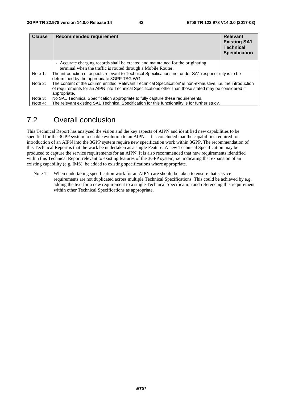| <b>Clause</b> | <b>Recommended requirement</b>                                                                                                                                                                                           | <b>Relevant</b><br><b>Existing SA1</b><br><b>Technical</b><br><b>Specification</b> |
|---------------|--------------------------------------------------------------------------------------------------------------------------------------------------------------------------------------------------------------------------|------------------------------------------------------------------------------------|
|               | - Accurate charging records shall be created and maintained for the originating                                                                                                                                          |                                                                                    |
|               | terminal when the traffic is routed through a Mobile Router.                                                                                                                                                             |                                                                                    |
| Note 1:       | The introduction of aspects relevant to Technical Specifications not under SA1 responsibility is to be<br>determined by the appropriate 3GPP TSG WG.                                                                     |                                                                                    |
| Note 2:       | The content of the column entitled 'Relevant Technical Specification' is non-exhaustive, i.e. the introduction<br>of requirements for an AIPN into Technical Specifications other than those stated may be considered if |                                                                                    |
|               | appropriate.                                                                                                                                                                                                             |                                                                                    |
| Note 3:       | No SA1 Technical Specification appropriate to fully capture these requirements.                                                                                                                                          |                                                                                    |
| Note 4:       | The relevant existing SA1 Technical Specification for this functionality is for further study.                                                                                                                           |                                                                                    |

# 7.2 Overall conclusion

This Technical Report has analysed the vision and the key aspects of AIPN and identified new capabilities to be specified for the 3GPP system to enable evolution to an AIPN. It is concluded that the capabilities required for introduction of an AIPN into the 3GPP system require new specification work within 3GPP. The recommendation of this Technical Report is that the work be undertaken as a single Feature. A new Technical Specification may be produced to capture the service requirements for an AIPN. It is also recommended that new requirements identified within this Technical Report relevant to existing features of the 3GPP system, i.e. indicating that expansion of an existing capability (e.g. IMS), be added to existing specifications where appropriate.

Note 1: When undertaking specification work for an AIPN care should be taken to ensure that service requirements are not duplicated across multiple Technical Specifications. This could be achieved by e.g. adding the text for a new requirement to a single Technical Specification and referencing this requirement within other Technical Specifications as appropriate.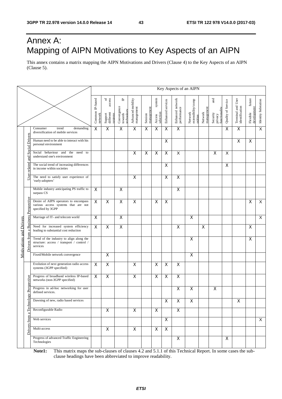# Annex A: Mapping of AIPN Motivations to Key Aspects of an AIPN

This annex contains a matrix mapping the AIPN Motivations and Drivers (Clause 4) to the Key Aspects of an AIPN (Clause 5).

|                                |                                     |                                                                                                   |                            |                                                 |                                                      |                                 |                       |                               |                         | Key Aspects of an AIPN          |                                          |                         |                                             |                         |                                     |                                           |                     |
|--------------------------------|-------------------------------------|---------------------------------------------------------------------------------------------------|----------------------------|-------------------------------------------------|------------------------------------------------------|---------------------------------|-----------------------|-------------------------------|-------------------------|---------------------------------|------------------------------------------|-------------------------|---------------------------------------------|-------------------------|-------------------------------------|-------------------------------------------|---------------------|
|                                |                                     |                                                                                                   | Common IP-based<br>network | of<br>access<br>Support<br>different<br>systems | $\mathbf{r}$<br>Convergence<br>technology<br>towards | Advanced mobility<br>management | management<br>Session | system<br>selection<br>Access | Enhanced services       | Enhanced network<br>performance | Network<br>extensibility/comp<br>osition | management<br>Network   | and<br>functionality<br>Security<br>privacy | Quality of Service      | Terminal and User<br>identification | ${\rm future}$<br>development<br>Flexible | Identity federation |
|                                |                                     | Consumer<br>trend<br>demanding<br>diversification of mobile services                              | $\overline{\mathsf{x}}$    | Χ                                               | X                                                    | $\overline{\mathsf{x}}$         | X                     | $\overline{\mathsf{x}}$       | $\overline{\mathsf{x}}$ | $\overline{\mathsf{x}}$         |                                          |                         |                                             | $\overline{\mathsf{x}}$ | $\overline{\mathsf{x}}$             |                                           | $\overline{X}$      |
|                                |                                     | Human need to be able to interact with his<br>personal environment                                |                            |                                                 |                                                      |                                 |                       |                               | $\mathsf{X}$            |                                 |                                          |                         |                                             |                         | X                                   | $\overline{\mathsf{x}}$                   |                     |
|                                | and Social Drivers                  | Social behaviour and the need to<br>understand one's environment                                  |                            |                                                 |                                                      | X                               | X                     | $\mathsf{X}$                  | $\mathsf{X}$            | $\overline{\mathsf{X}}$         |                                          |                         | $\mathsf X$                                 | X                       |                                     |                                           |                     |
|                                | User related                        | The social trend of increasing differences<br>in income within societies                          |                            |                                                 |                                                      |                                 |                       |                               | X.                      |                                 |                                          |                         |                                             | X                       |                                     |                                           |                     |
|                                |                                     | The need to satisfy user experience of<br>'early-adopters'                                        |                            |                                                 |                                                      | X                               |                       |                               | X                       | $\overline{\mathsf{x}}$         |                                          |                         |                                             |                         |                                     |                                           |                     |
|                                |                                     | Mobile industry anticipating PS traffic to<br>surpass CS                                          | $\mathsf{X}$               |                                                 | X                                                    |                                 |                       |                               |                         | X                               |                                          |                         |                                             |                         |                                     |                                           |                     |
|                                | Drivers from a Business Perspective | Desire of AIPN operators to encompass<br>various access systems that are not<br>specified by 3GPP | X                          | X                                               | X                                                    | X                               |                       | $\pmb{\times}$                | X                       |                                 |                                          |                         |                                             |                         |                                     | $\boldsymbol{\mathsf{X}}$                 | X                   |
|                                |                                     | Marriage of IT- and telecom world                                                                 | $\boldsymbol{\mathsf{X}}$  |                                                 | X                                                    |                                 |                       |                               |                         |                                 | $\overline{\mathsf{x}}$                  |                         |                                             |                         |                                     |                                           | X                   |
|                                |                                     | Need for increased system efficiency<br>leading to substantial cost reduction                     | $\boldsymbol{\mathsf{X}}$  | $\overline{\mathsf{x}}$                         | X                                                    |                                 |                       |                               |                         | $\overline{\mathsf{x}}$         |                                          | $\overline{\mathsf{x}}$ |                                             |                         |                                     | X                                         |                     |
| <b>Motivations and Drivers</b> |                                     | Trend of the industry to align along the<br>structure: access / transport / control /<br>services |                            |                                                 |                                                      |                                 |                       |                               |                         |                                 | X                                        |                         |                                             |                         |                                     | X                                         |                     |
|                                |                                     | Fixed/Mobile network convergence                                                                  |                            | X                                               |                                                      |                                 |                       |                               |                         |                                 | $\overline{X}$                           |                         |                                             |                         |                                     |                                           |                     |
|                                |                                     | Evolution of next generation radio access<br>systems (3GPP specified)                             | $\boldsymbol{\mathsf{X}}$  | $\pmb{\times}$                                  |                                                      | $\pmb{\times}$                  |                       | $\pmb{\times}$                | X                       | X                               |                                          |                         |                                             |                         |                                     |                                           |                     |
|                                | Perspective                         | Progress of broadband wireless IP-based<br>networks (non-3GPP specified)                          | $\boldsymbol{\mathsf{X}}$  | X                                               |                                                      | $\mathsf X$                     |                       | $\pmb{\times}$                | X                       | $\overline{\mathsf{x}}$         |                                          |                         |                                             |                         |                                     |                                           |                     |
|                                | $50^{\circ}$                        | Progress in ad-hoc networking for user<br>defined services.                                       |                            |                                                 |                                                      |                                 |                       |                               |                         | X                               | X                                        |                         | X                                           |                         |                                     |                                           |                     |
|                                | a Technolo                          | Dawning of new, radio based services                                                              |                            |                                                 |                                                      |                                 |                       |                               | $\mathsf{X}$            | $\mathsf X$                     | $\mathsf X$                              |                         |                                             |                         | X                                   |                                           |                     |
|                                |                                     | Reconfigurable Radio                                                                              |                            | $\mathsf{X}$                                    |                                                      | $\mathsf X$                     |                       | $\mathsf{X}$                  |                         | $\mathsf X$                     |                                          |                         |                                             |                         |                                     |                                           |                     |
|                                | Drivers from                        | Web services                                                                                      |                            |                                                 |                                                      |                                 |                       |                               | $\mathsf{X}$            |                                 |                                          |                         |                                             |                         |                                     |                                           | $\times$            |
|                                |                                     | Multi-access                                                                                      |                            | $\pmb{\mathsf{X}}$                              |                                                      | $\mathsf X$                     |                       | $\mathsf{X}$                  | $\mathsf{X}$            |                                 |                                          |                         |                                             |                         |                                     |                                           |                     |
|                                |                                     | Progress of advanced Traffic Engineering<br>Technologies                                          |                            |                                                 |                                                      |                                 |                       |                               |                         | $\boldsymbol{\mathsf{X}}$       |                                          |                         |                                             | $\mathsf{X}$            |                                     |                                           |                     |

**Note1:** This matrix maps the sub-clauses of clauses 4.2 and 5.1.1 of this Technical Report. In some cases the subclause headings have been abbreviated to improve readability.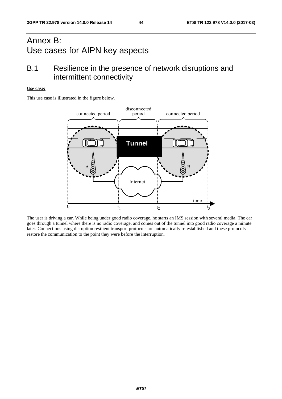# Annex B: Use cases for AIPN key aspects

# B.1 Resilience in the presence of network disruptions and intermittent connectivity

#### **Use case:**

This use case is illustrated in the figure below.

![](_page_44_Figure_6.jpeg)

The user is driving a car. While being under good radio coverage, he starts an IMS session with several media. The car goes through a tunnel where there is no radio coverage, and comes out of the tunnel into good radio coverage a minute later. Connections using disruption resilient transport protocols are automatically re-established and these protocols restore the communication to the point they were before the interruption.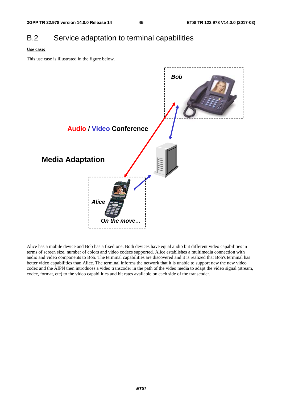# B.2 Service adaptation to terminal capabilities

#### **Use case:**

This use case is illustrated in the figure below.

![](_page_45_Figure_6.jpeg)

Alice has a mobile device and Bob has a fixed one. Both devices have equal audio but different video capabilities in terms of screen size, number of colors and video codecs supported. Alice establishes a multimedia connection with audio and video components to Bob. The terminal capabilities are discovered and it is realized that Bob's terminal has better video capabilities than Alice. The terminal informs the network that it is unable to support new the new video codec and the AIPN then introduces a video transcoder in the path of the video media to adapt the video signal (stream, codec, format, etc) to the video capabilities and bit rates available on each side of the transcoder.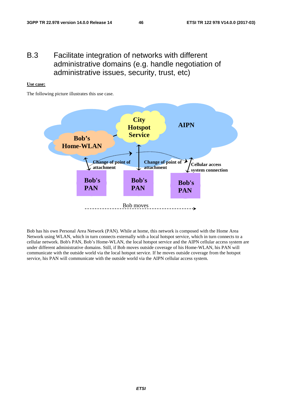# B.3 Facilitate integration of networks with different administrative domains (e.g. handle negotiation of administrative issues, security, trust, etc)

#### **Use case:**

The following picture illustrates this use case.

![](_page_46_Figure_5.jpeg)

Bob has his own Personal Area Network (PAN). While at home, this network is composed with the Home Area Network using WLAN, which in turn connects externally with a local hotspot service, which in turn connects to a cellular network. Bob's PAN, Bob's Home-WLAN, the local hotspot service and the AIPN cellular access system are under different administrative domains. Still, if Bob moves outside coverage of his Home-WLAN, his PAN will communicate with the outside world via the local hotspot service. If he moves outside coverage from the hotspot service, his PAN will communicate with the outside world via the AIPN cellular access system.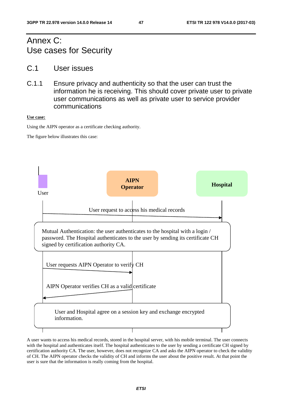# Annex C: Use cases for Security

- C.1 User issues
- C.1.1 Ensure privacy and authenticity so that the user can trust the information he is receiving. This should cover private user to private user communications as well as private user to service provider communications

#### **Use case:**

Using the AIPN operator as a certificate checking authority.

The figure below illustrates this case:

![](_page_47_Figure_9.jpeg)

A user wants to access his medical records, stored in the hospital server, with his mobile terminal. The user connects with the hospital and authenticates itself. The hospital authenticates to the user by sending a certificate CH signed by certification authority CA. The user, however, does not recognize CA and asks the AIPN operator to check the validity of CH. The AIPN operator checks the validity of CH and informs the user about the positive result. At that point the user is sure that the information is really coming from the hospital.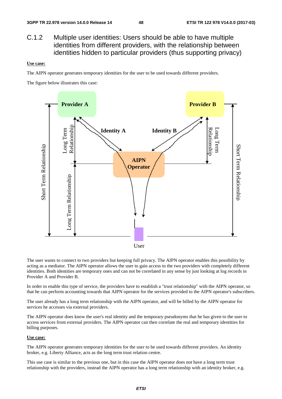C.1.2 Multiple user identities: Users should be able to have multiple identities from different providers, with the relationship between identities hidden to particular providers (thus supporting privacy)

#### **Use case:**

The AIPN operator generates temporary identities for the user to be used towards different providers.

The figure below illustrates this case:

![](_page_48_Figure_7.jpeg)

The user wants to connect to two providers but keeping full privacy. The AIPN operator enables this possibility by acting as a mediator. The AIPN operator allows the user to gain access to the two providers with completely different identities. Both identities are temporary ones and can not be correlated in any sense by just looking at log records in Provider A and Provider B.

In order to enable this type of service, the providers have to establish a "trust relationship" with the AIPN operator, so that he can perform accounting towards that AIPN operator for the services provided to the AIPN operator's subscribers.

The user already has a long term relationship with the AIPN operator, and will be billed by the AIPN operator for services he accesses via external providers.

The AIPN operator does know the user's real identity and the temporary pseudonyms that he has given to the user to access services from external providers. The AIPN operator can then correlate the real and temporary identities for billing purposes.

#### **Use case:**

The AIPN operator generates temporary identities for the user to be used towards different providers. An identity broker, e.g. Liberty Alliance, acts as the long term trust relation centre.

This use case is similar to the previous one, but in this case the AIPN operator does not have a long term trust relationship with the providers, instead the AIPN operator has a long term relationship with an identity broker, e.g.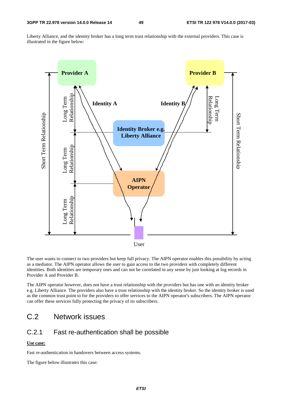Liberty Alliance, and the identity broker has a long term trust relationship with the external providers. This case is illustrated in the figure below:

![](_page_49_Figure_4.jpeg)

The user wants to connect to two providers but keep full privacy. The AIPN operator enables this possibility by acting as a mediator. The AIPN operator allows the user to gain access to the two providers with completely different identities. Both identities are temporary ones and can not be correlated in any sense by just looking at log records in Provider A and Provider B.

The AIPN operator however, does not have a trust relationship with the providers but has one with an identity broker e.g. Liberty Alliance. The providers also have a trust relationship with the identity broker. So the identity broker is used as the common trust point to for the providers to offer services to the AIPN operator's subscribers. The AIPN operator can offer these services fully protecting the privacy of its subscribers.

# C.2 Network issues

## C.2.1 Fast re-authentication shall be possible

#### **Use case:**

Fast re-authentication in handovers between access systems.

The figure below illustrates this case: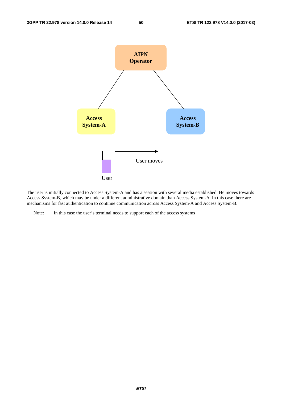![](_page_50_Figure_3.jpeg)

The user is initially connected to Access System-A and has a session with several media established. He moves towards Access System-B, which may be under a different administrative domain than Access System-A. In this case there are mechanisms for fast authentication to continue communication across Access System-A and Access System-B.

Note: In this case the user's terminal needs to support each of the access systems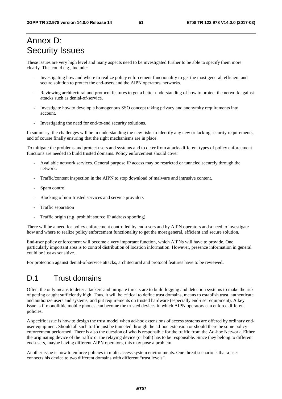# Annex D: Security Issues

These issues are very high level and many aspects need to be investigated further to be able to specify them more clearly. This could e.g., include:

- Investigating how and where to realize policy enforcement functionality to get the most general, efficient and secure solution to protect the end-users and the AIPN operators' networks.
- Reviewing architectural and protocol features to get a better understanding of how to protect the network against attacks such as denial-of-service.
- Investigate how to develop a homogenous SSO concept taking privacy and anonymity requirements into account.
- Investigating the need for end-to-end security solutions.

In summary, the challenges will be in understanding the new risks to identify any new or lacking security requirements, and of course finally ensuring that the right mechanisms are in place.

To mitigate the problems and protect users and systems and to deter from attacks different types of policy enforcement functions are needed to build trusted domains. Policy enforcement should cover

- Available network services. General purpose IP access may be restricted or tunneled securely through the network.
- Traffic/content inspection in the AIPN to stop download of malware and intrusive content.
- Spam control
- Blocking of non-trusted services and service providers
- Traffic separation
- Traffic origin (e.g. prohibit source IP address spoofing).

There will be a need for policy enforcement controlled by end-users and by AIPN operators and a need to investigate how and where to realize policy enforcement functionality to get the most general, efficient and secure solution.

End-user policy enforcement will become a very important function, which AIPNs will have to provide. One particularly important area is to control distribution of location information. However, presence information in general could be just as sensitive.

For protection against denial-of-service attacks, architectural and protocol features have to be reviewed**.** 

# D.1 Trust domains

Often, the only means to deter attackers and mitigate threats are to build logging and detection systems to make the risk of getting caught sufficiently high. Thus, it will be critical to define trust domains, means to establish trust, authenticate and authorize users and systems, and put requirements on trusted hardware (especially end-user equipment). A key issue is if monolithic mobile phones can become the trusted devices in which AIPN operators can enforce different policies.

A specific issue is how to design the trust model when ad-hoc extensions of access systems are offered by ordinary enduser equipment. Should all such traffic just be tunneled through the ad-hoc extension or should there be some policy enforcement performed. There is also the question of who is responsible for the traffic from the Ad-hoc Network. Either the originating device of the traffic or the relaying device (or both) has to be responsible. Since they belong to different end-users, maybe having different AIPN operators, this may pose a problem.

Another issue is how to enforce policies in multi-access system environments. One threat scenario is that a user connects his device to two different domains with different "trust levels".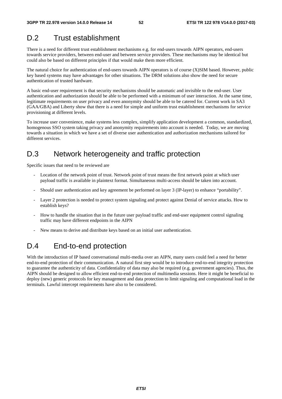# D.2 Trust establishment

There is a need for different trust establishment mechanisms e.g. for end-users towards AIPN operators, end-users towards service providers, between end-user and between service providers. These mechanisms may be identical but could also be based on different principles if that would make them more efficient.

The natural choice for authentication of end-users towards AIPN operators is of course (X)SIM based. However, public key based systems may have advantages for other situations. The DRM solutions also show the need for secure authentication of trusted hardware.

A basic end-user requirement is that security mechanisms should be automatic and invisible to the end-user. User authentication and authorization should be able to be performed with a minimum of user interaction. At the same time, legitimate requirements on user privacy and even anonymity should be able to be catered for. Current work in SA3 (GAA/GBA) and Liberty show that there is a need for simple and uniform trust establishment mechanisms for service provisioning at different levels.

To increase user convenience, make systems less complex, simplify application development a common, standardized, homogenous SSO system taking privacy and anonymity requirements into account is needed. Today, we are moving towards a situation in which we have a set of diverse user authentication and authorization mechanisms tailored for different services.

# D.3 Network heterogeneity and traffic protection

Specific issues that need to be reviewed are

- Location of the network point of trust. Network point of trust means the first network point at which user payload traffic is available in plaintext format. Simultaneous multi-access should be taken into account.
- Should user authentication and key agreement be performed on layer 3 (IP-layer) to enhance "portability".
- Layer 2 protection is needed to protect system signaling and protect against Denial of service attacks. How to establish keys?
- How to handle the situation that in the future user payload traffic and end-user equipment control signaling traffic may have different endpoints in the AIPN
- New means to derive and distribute keys based on an initial user authentication.

# D.4 End-to-end protection

With the introduction of IP based conversational multi-media over an AIPN, many users could feel a need for better end-to-end protection of their communication. A natural first step would be to introduce end-to-end integrity protection to guarantee the authenticity of data. Confidentiality of data may also be required (e.g. government agencies). Thus, the AIPN should be designed to allow efficient end-to-end protection of multimedia sessions. Here it might be beneficial to deploy (new) generic protocols for key management and data protection to limit signaling and computational load in the terminals. Lawful intercept requirements have also to be considered.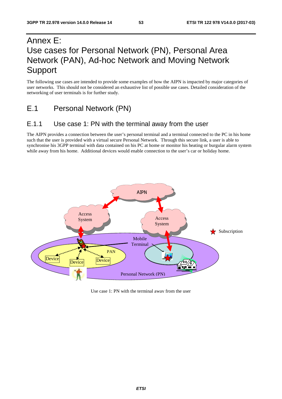# Annex E: Use cases for Personal Network (PN), Personal Area Network (PAN), Ad-hoc Network and Moving Network Support

The following use cases are intended to provide some examples of how the AIPN is impacted by major categories of user networks. This should not be considered an exhaustive list of possible use cases. Detailed consideration of the networking of user terminals is for further study.

# E.1 Personal Network (PN)

## E.1.1 Use case 1: PN with the terminal away from the user

The AIPN provides a connection between the user's personal terminal and a terminal connected to the PC in his home such that the user is provided with a virtual secure Personal Network. Through this secure link, a user is able to synchronise his 3GPP terminal with data contained on his PC at home or monitor his heating or burgular alarm system while away from his home. Additional devices would enable connection to the user's car or holiday home.

![](_page_53_Figure_7.jpeg)

Use case 1: PN with the terminal away from the user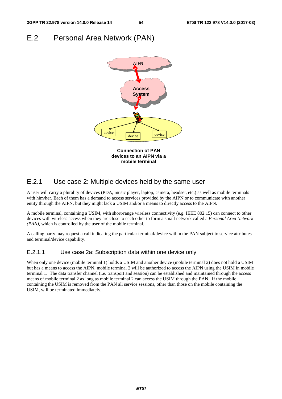# E.2 Personal Area Network (PAN)

![](_page_54_Figure_4.jpeg)

## E.2.1 Use case 2: Multiple devices held by the same user

A user will carry a plurality of devices (PDA, music player, laptop, camera, headset, etc.) as well as mobile terminals with him/her. Each of them has a demand to access services provided by the AIPN or to communicate with another entity through the AIPN, but they might lack a USIM and/or a means to directly access to the AIPN.

A mobile terminal, containing a USIM, with short-range wireless connectivity (e.g. IEEE 802.15) can connect to other devices with wireless access when they are close to each other to form a small network called a *Personal Area Network (PAN),* which is controlled by the user of the mobile terminal.

A calling party may request a call indicating the particular terminal/device within the PAN subject to service attributes and terminal/device capability.

### E.2.1.1 Use case 2a: Subscription data within one device only

When only one device (mobile terminal 1) holds a USIM and another device (mobile terminal 2) does not hold a USIM but has a means to access the AIPN, mobile terminal 2 will be authorized to access the AIPN using the USIM in mobile terminal 1. The data transfer channel (i.e. transport and session) can be established and maintained through the access means of mobile terminal 2 as long as mobile terminal 2 can access the USIM through the PAN. If the mobile containing the USIM is removed from the PAN all service sessions, other than those on the mobile containing the USIM, will be terminated immediately.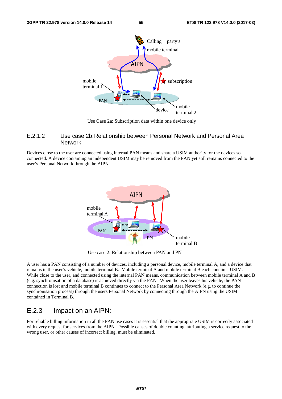![](_page_55_Figure_3.jpeg)

Use Case 2a: Subscription data within one device only

#### E.2.1.2 Use case 2b: Relationship between Personal Network and Personal Area **Network**

Devices close to the user are connected using internal PAN means and share a USIM authority for the devices so connected. A device containing an independent USIM may be removed from the PAN yet still remains connected to the user's Personal Network through the AIPN.

![](_page_55_Figure_7.jpeg)

Use case 2: Relationship between PAN and PN

A user has a PAN consisting of a number of devices, including a personal device, mobile terminal A, and a device that remains in the user's vehicle, mobile terminal B. Mobile terminal A and mobile terminal B each contain a USIM. While close to the user, and connected using the internal PAN means, communication between mobile terminal A and B (e.g. synchronisation of a database) is achieved directly via the PAN. When the user leaves his vehicle, the PAN connection is lost and mobile terminal B continues to connect to the Personal Area Network (e.g. to continue the synchronisation process) through the users Personal Network by connecting through the AIPN using the USIM contained in Terminal B.

## E.2.3 Impact on an AIPN:

For reliable billing information in all the PAN use cases it is essential that the appropriate USIM is correctly associated with every request for services from the AIPN. Possible causes of double counting, attributing a service request to the wrong user, or other causes of incorrect billing, must be eliminated.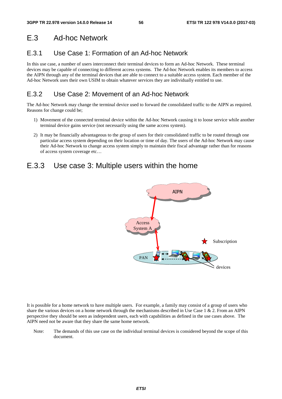# E.3 Ad-hoc Network

# E.3.1 Use Case 1: Formation of an Ad-hoc Network

In this use case, a number of users interconnect their terminal devices to form an Ad-hoc Network. These terminal devices may be capable of connecting to different access systems. The Ad-hoc Network enables its members to access the AIPN through any of the terminal devices that are able to connect to a suitable access system. Each member of the Ad-hoc Network uses their own USIM to obtain whatever services they are individually entitled to use.

# E.3.2 Use Case 2: Movement of an Ad-hoc Network

The Ad-hoc Network may change the terminal device used to forward the consolidated traffic to the AIPN as required. Reasons for change could be;

- 1) Movement of the connected terminal device within the Ad-hoc Network causing it to loose service while another terminal device gains service (not necessarily using the same access system).
- 2) It may be financially advantageous to the group of users for their consolidated traffic to be routed through one particular access system depending on their location or time of day. The users of the Ad-hoc Network may cause their Ad-hoc Network to change access system simply to maintain their fiscal advantage rather than for reasons of access system coverage etc…

# E.3.3 Use case 3: Multiple users within the home

![](_page_56_Figure_11.jpeg)

It is possible for a home network to have multiple users. For example, a family may consist of a group of users who share the various devices on a home network through the mechanisms described in Use Case  $1 \& 2$ . From an AIPN perspective they should be seen as independent users, each with capabilities as defined in the use cases above. The AIPN need not be aware that they share the same home network.

Note: The demands of this use case on the individual terminal devices is considered beyond the scope of this document.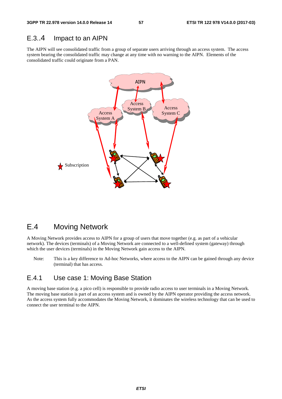## E.3..4 Impact to an AIPN

The AIPN will see consolidated traffic from a group of separate users arriving through an access system. The access system bearing the consolidated traffic may change at any time with no warning to the AIPN. Elements of the consolidated traffic could originate from a PAN.

![](_page_57_Figure_5.jpeg)

# E.4 Moving Network

A Moving Network provides access to AIPN for a group of users that move together (e.g. as part of a vehicular network). The devices (terminals) of a Moving Network are connected to a well-defined system (gateway) through which the user devices (terminals) in the Moving Network gain access to the AIPN.

Note: This is a key difference to Ad-hoc Networks, where access to the AIPN can be gained through any device (terminal) that has access.

## E.4.1 Use case 1: Moving Base Station

A moving base station (e.g. a pico cell) is responsible to provide radio access to user terminals in a Moving Network. The moving base station is part of an access system and is owned by the AIPN operator providing the access network. As the access system fully accommodates the Moving Network, it dominates the wireless technology that can be used to connect the user terminal to the AIPN.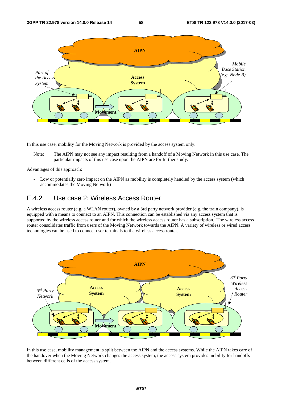![](_page_58_Figure_3.jpeg)

In this use case, mobility for the Moving Network is provided by the access system only.

Note: The AIPN may not see any impact resulting from a handoff of a Moving Network in this use case. The particular impacts of this use case upon the AIPN are for further study.

Advantages of this approach:

- Low or potentially zero impact on the AIPN as mobility is completely handled by the access system (which accommodates the Moving Network)

## E.4.2 Use case 2: Wireless Access Router

A wireless access router (e.g. a WLAN router), owned by a 3rd party network provider (e.g. the train company), is equipped with a means to connect to an AIPN. This connection can be established via any access system that is supported by the wireless access router and for which the wireless access router has a subscription. The wireless access router consolidates traffic from users of the Moving Network towards the AIPN. A variety of wireless or wired access technologies can be used to connect user terminals to the wireless access router.

![](_page_58_Figure_10.jpeg)

In this use case, mobility management is split between the AIPN and the access systems. While the AIPN takes care of the handover when the Moving Network changes the access system, the access system provides mobility for handoffs between different cells of the access system.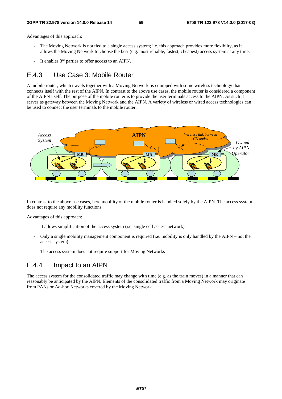Advantages of this approach:

- The Moving Network is not tied to a single access system; i.e. this approach provides more flexibilty, as it allows the Moving Network to choose the best (e.g. most reliable, fastest, cheapest) access system at any time.
- It enables 3<sup>rd</sup> parties to offer access to an AIPN.

## E.4.3 Use Case 3: Mobile Router

A mobile router, which travels together with a Moving Network, is equipped with some wireless technology that connects itself with the rest of the AIPN. In contrast to the above use cases, the mobile router is considered a component of the AIPN itself. The purpose of the mobile router is to provide the user terminals access to the AIPN. As such it serves as gateway between the Moving Network and the AIPN. A variety of wireless or wired access technologies can be used to connect the user terminals to the mobile router.

![](_page_59_Figure_8.jpeg)

In contrast to the above use cases, here mobility of the mobile router is handled solely by the AIPN. The access system does not require any mobility functions.

Advantages of this approach:

- It allows simplification of the access system (i.e. single cell access network)
- Only a single mobility management component is required (i.e. mobility is only handled by the AIPN not the access system)
- The access system does not require support for Moving Networks

## E.4.4 Impact to an AIPN

The access system for the consolidated traffic may change with time (e.g. as the train moves) in a manner that can reasonably be anticipated by the AIPN. Elements of the consolidated traffic from a Moving Network may originate from PANs or Ad-hoc Networks covered by the Moving Network.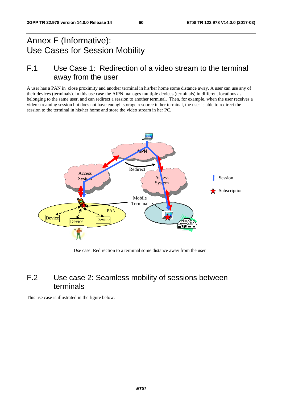# Annex F (Informative): Use Cases for Session Mobility

# F.1 Use Case 1: Redirection of a video stream to the terminal away from the user

A user has a PAN in close proximity and another terminal in his/her home some distance away. A user can use any of their devices (terminals). In this use case the AIPN manages multiple devices (terminals) in different locations as belonging to the same user, and can redirect a session to another terminal. Then, for example, when the user receives a video streaming session but does not have enough storage resource in her terminal, the user is able to redirect the session to the terminal in his/her home and store the video stream in her PC.

![](_page_60_Figure_6.jpeg)

Use case: Redirection to a terminal some distance away from the user

# F.2 Use case 2: Seamless mobility of sessions between terminals

This use case is illustrated in the figure below.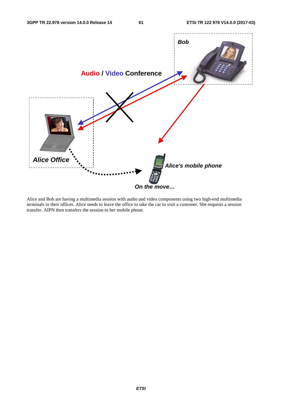![](_page_61_Figure_3.jpeg)

Alice and Bob are having a multimedia session with audio and video components using two high-end multimedia terminals in their offices. Alice needs to leave the office to take the car to visit a customer. She requests a session transfer. AIPN then transfers the session to her mobile phone.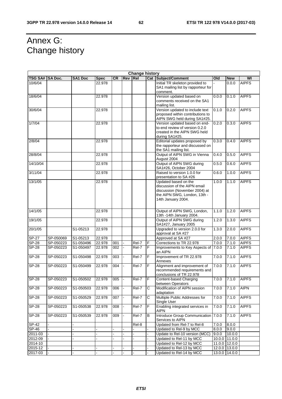٦

# Annex G: Change history

| <b>Change history</b> |           |                |             |           |                |            |   |                                                                                                                                             |       |               |              |
|-----------------------|-----------|----------------|-------------|-----------|----------------|------------|---|---------------------------------------------------------------------------------------------------------------------------------------------|-------|---------------|--------------|
| TSG SA# SA Doc.       |           | <b>SA1 Doc</b> | <b>Spec</b> | <b>CR</b> | <b>Rev</b>     | <b>Rel</b> |   | <b>Cat Subject/Comment</b>                                                                                                                  | Old   | <b>New</b>    | WI           |
| 10/6/04               |           |                | 22.978      |           |                |            |   | Initial TR skeleton provided to<br>SA1 mailing list by rapporteur for<br>comment.                                                           |       | 0.0.0         | <b>AIPFS</b> |
| 18/6/04               |           |                | 22.978      |           |                |            |   | Version updated based on<br>comments received on the SA1<br>mailing list.                                                                   | 0.0.0 | 0.1.0         | <b>AIPFS</b> |
| 30/6/04               |           |                | 22.978      |           |                |            |   | Version updated to include text<br>proposed within contributions to<br>AIPN SWG held during SA1#25.                                         | 0.1.0 | 0.2.0         | <b>AIPFS</b> |
| 1/7/04                |           |                | 22.978      |           |                |            |   | Version updated based on end-<br>to-end review of version 0.2.0<br>created in the AIPN SWG held<br>during SA1#25.                           | 0.2.0 | 0.3.0         | <b>AIPFS</b> |
| 2/8/04                |           |                | 22.978      |           |                |            |   | Editorial updates proposed by<br>the rapporteur and discussed on<br>the SA1 mailing list.                                                   | 0.3.0 | 0.4.0         | <b>AIPFS</b> |
| 28/8/04               |           |                | 22.978      |           |                |            |   | Output of AIPN SWG in Vienna<br>August 2004                                                                                                 | 0.4.0 | 0.5.0         | <b>AIPFS</b> |
| 14/10/04              |           |                | 22.978      |           |                |            |   | Output of AIPN SWG during<br>SA1#26, October 2004                                                                                           | 0.5.0 | 0.6.0         | <b>AIPFS</b> |
| 3/11/04               |           |                | 22.978      |           |                |            |   | Raised to version 1.0.0 for<br>presentation to SA #26                                                                                       | 0.6.0 | 1.0.0         | <b>AIPFS</b> |
| 13/1/05               |           |                | 22.978      |           |                |            |   | Updated based on the<br>discussion of the AIPN email<br>discussion (November 2004) at<br>the AIPN SWG, London, 13th -<br>14th January 2004. | 1.0.0 | 1.1.0         | <b>AIPFS</b> |
| 14/1/05               |           |                | 22.978      |           |                |            |   | Output of AIPN SWG, London,<br>13th -14th January 2004.                                                                                     | 1.1.0 | 1.2.0         | <b>AIPFS</b> |
| 19/1/05               |           |                | 22.978      |           |                |            |   | Output of AIPN SWG during<br>SA1#27, January 2005                                                                                           | 1.2.0 | 1.3.0         | <b>AIPFS</b> |
| 20/1/05               |           | S1-05213       | 22.978      |           |                |            |   | Upgraded to version 2.0.0 for<br>approval at SA #27                                                                                         | 1.3.0 | 2.0.0         | <b>AIPFS</b> |
| $SP-27$               | SP-050069 | S1-05213       | 22.978      |           |                |            |   | Approved at SA #27                                                                                                                          | 2.0.0 | 7.0.0         | <b>AIPFS</b> |
| <b>SP-28</b>          | SP-050223 | S1-050496      | 22.978      | 001       |                | Rel-7      | F | Corrections to TR 22.978                                                                                                                    | 7.0.0 | 7.1.0         | <b>AIPFS</b> |
| $SP-28$               | SP-050223 | S1-050497      | 22.978      | 002       |                | Rel-7      | F | Improvements to Key Aspects of<br>an AIPN                                                                                                   | 7.0.0 | 7.1.0         | <b>AIPFS</b> |
| <b>SP-28</b>          | SP-050223 | S1-050498      | 22.978      | 003       |                | Rel-7      | F | Improvement of TR 22.978<br>Annexes                                                                                                         | 7.0.0 | 7.1.0         | <b>AIPFS</b> |
| <b>SP-28</b>          | SP-050223 | S1-050499      | 22.978      | 004       |                | Rel-7      | F | Alignment and improvement of<br>recommended requirements and<br>conclusions of TR 22.978                                                    | 7.0.0 | 7.1.0         | <b>AIPFS</b> |
| $SP-28$               | SP-050223 | S1-050502      | 22.978      | 005       |                | Rel-7      | F | Content-based Charging<br>between Operators                                                                                                 | 7.0.0 | 7.1.0         | <b>AIPFS</b> |
| <b>SP-28</b>          | SP-050223 | S1-050503      | 22.978      | 006       |                | Rel-7      | С | Modification of AIPN session<br>adaptation                                                                                                  | 7.0.0 | 7.1.0         | <b>AIPN</b>  |
| <b>SP-28</b>          | SP-050223 | S1-050529      | 22.978      | 007       | $\blacksquare$ | Rel-7      | C | Multiple Public Addresses for<br>Single User                                                                                                | 7.0.0 | 7.1.0         | <b>AIPFS</b> |
| <b>SP-28</b>          | SP-050223 | S1-050538      | 22.978      | 008       |                | Rel-7      | F | Enabling integrated services in<br><b>AIPN</b>                                                                                              | 7.0.0 | 7.1.0         | <b>AIPFS</b> |
| <b>SP-28</b>          | SP-050223 | S1-050539      | 22.978      | 009       |                | Rel-7      | B | Introduce Group Communication<br>Services to AIPN                                                                                           | 7.0.0 | 7.1.0         | <b>AIPFS</b> |
| <b>SP-42</b>          |           |                |             |           |                | Rel-8      |   | Updated from Rel-7 to Rel-8                                                                                                                 | 7.0.0 | 8.0.0         |              |
| SP-46                 |           |                |             |           |                |            |   | Updated to Rel-9 by MCC                                                                                                                     | 8.0.0 | 9.0.0         |              |
| 2011-03               |           |                | ä,          |           |                |            |   | Update to Rel-10 version (MCC)                                                                                                              | 9.0.0 | 10.0.0        |              |
| 2012-09               |           |                |             |           |                |            |   | Updated to Rel-11 by MCC                                                                                                                    |       | 10.0.0 11.0.0 |              |
| 2014-10               |           |                |             |           |                |            |   | Updated to Rel-12 by MCC                                                                                                                    |       | 11.0.0 12.0.0 |              |
| 2015-12               |           |                |             |           |                |            |   | Updated to Rel-13 by MCC                                                                                                                    |       | 12.0.0 13.0.0 |              |
| 2017-03               |           |                |             |           |                |            |   | Updated to Rel-14 by MCC                                                                                                                    |       | 13.0.0 14.0.0 |              |